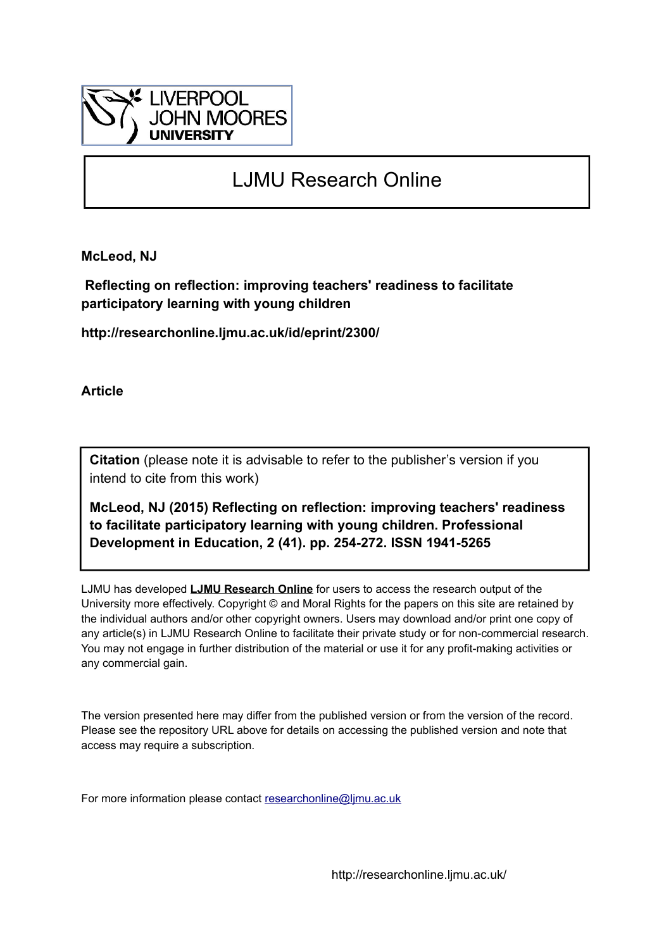

# LJMU Research Online

**McLeod, NJ**

 **Reflecting on reflection: improving teachers' readiness to facilitate participatory learning with young children**

**http://researchonline.ljmu.ac.uk/id/eprint/2300/**

**Article**

**Citation** (please note it is advisable to refer to the publisher's version if you intend to cite from this work)

**McLeod, NJ (2015) Reflecting on reflection: improving teachers' readiness to facilitate participatory learning with young children. Professional Development in Education, 2 (41). pp. 254-272. ISSN 1941-5265** 

LJMU has developed **[LJMU Research Online](http://researchonline.ljmu.ac.uk/)** for users to access the research output of the University more effectively. Copyright © and Moral Rights for the papers on this site are retained by the individual authors and/or other copyright owners. Users may download and/or print one copy of any article(s) in LJMU Research Online to facilitate their private study or for non-commercial research. You may not engage in further distribution of the material or use it for any profit-making activities or any commercial gain.

The version presented here may differ from the published version or from the version of the record. Please see the repository URL above for details on accessing the published version and note that access may require a subscription.

For more information please contact [researchonline@ljmu.ac.uk](mailto:researchonline@ljmu.ac.uk)

http://researchonline.ljmu.ac.uk/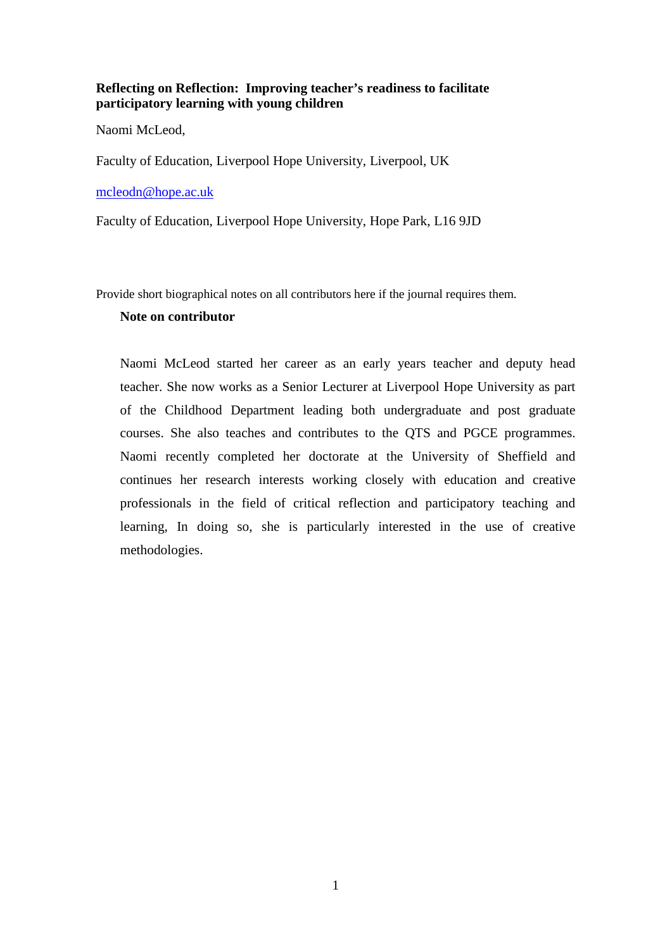# **Reflecting on Reflection: Improving teacher's readiness to facilitate participatory learning with young children**

Naomi McLeod,

Faculty of Education, Liverpool Hope University, Liverpool, UK

[mcleodn@hope.ac.uk](mailto:mcleodn@hope.ac.uk)

Faculty of Education, Liverpool Hope University, Hope Park, L16 9JD

Provide short biographical notes on all contributors here if the journal requires them.

## **Note on contributor**

Naomi McLeod started her career as an early years teacher and deputy head teacher. She now works as a Senior Lecturer at Liverpool Hope University as part of the Childhood Department leading both undergraduate and post graduate courses. She also teaches and contributes to the QTS and PGCE programmes. Naomi recently completed her doctorate at the University of Sheffield and continues her research interests working closely with education and creative professionals in the field of critical reflection and participatory teaching and learning, In doing so, she is particularly interested in the use of creative methodologies.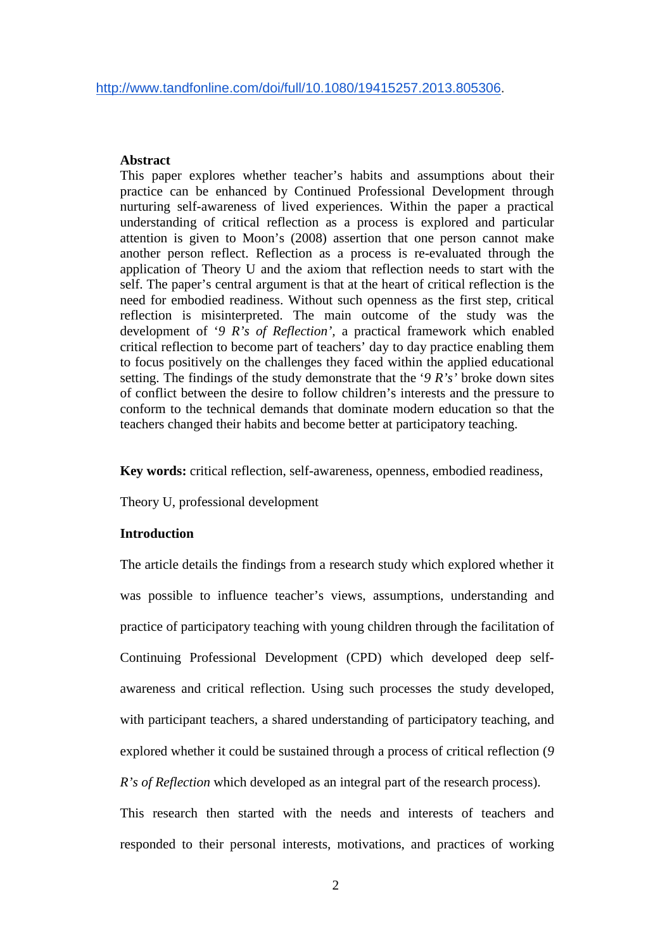## **Abstract**

This paper explores whether teacher's habits and assumptions about their practice can be enhanced by Continued Professional Development through nurturing self-awareness of lived experiences. Within the paper a practical understanding of critical reflection as a process is explored and particular attention is given to Moon's (2008) assertion that one person cannot make another person reflect. Reflection as a process is re-evaluated through the application of Theory U and the axiom that reflection needs to start with the self. The paper's central argument is that at the heart of critical reflection is the need for embodied readiness. Without such openness as the first step, critical reflection is misinterpreted. The main outcome of the study was the development of '*9 R's of Reflection',* a practical framework which enabled critical reflection to become part of teachers' day to day practice enabling them to focus positively on the challenges they faced within the applied educational setting. The findings of the study demonstrate that the '*9 R's'* broke down sites of conflict between the desire to follow children's interests and the pressure to conform to the technical demands that dominate modern education so that the teachers changed their habits and become better at participatory teaching.

**Key words:** critical reflection, self-awareness, openness, embodied readiness,

Theory U, professional development

#### **Introduction**

The article details the findings from a research study which explored whether it was possible to influence teacher's views, assumptions, understanding and practice of participatory teaching with young children through the facilitation of Continuing Professional Development (CPD) which developed deep selfawareness and critical reflection. Using such processes the study developed, with participant teachers, a shared understanding of participatory teaching, and explored whether it could be sustained through a process of critical reflection (*9 R*'s of Reflection which developed as an integral part of the research process).

This research then started with the needs and interests of teachers and responded to their personal interests, motivations, and practices of working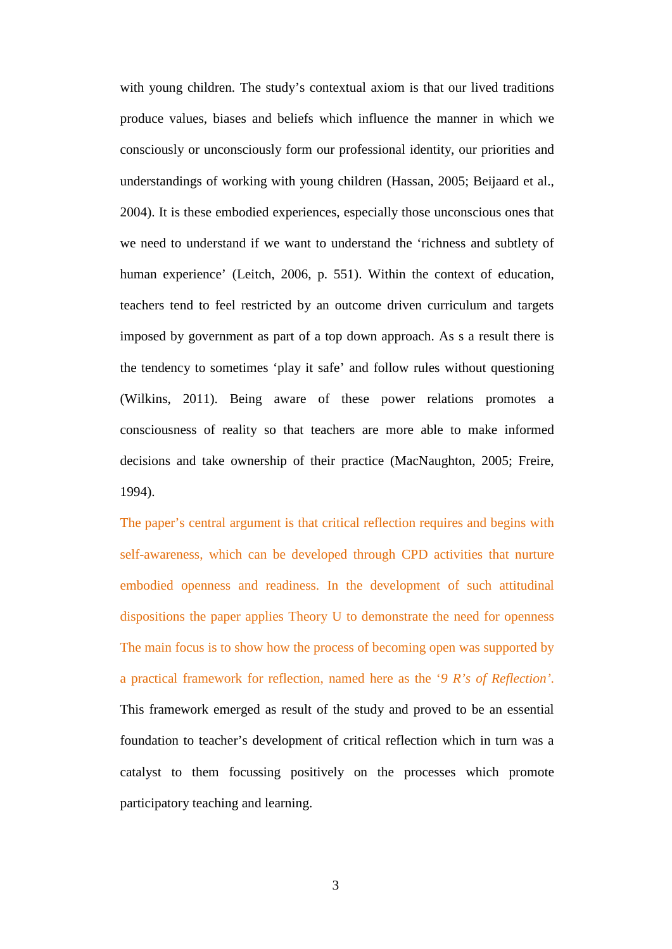with young children. The study's contextual axiom is that our lived traditions produce values, biases and beliefs which influence the manner in which we consciously or unconsciously form our professional identity, our priorities and understandings of working with young children (Hassan, 2005; Beijaard et al., 2004). It is these embodied experiences, especially those unconscious ones that we need to understand if we want to understand the 'richness and subtlety of human experience' (Leitch, 2006, p. 551). Within the context of education, teachers tend to feel restricted by an outcome driven curriculum and targets imposed by government as part of a top down approach. As s a result there is the tendency to sometimes 'play it safe' and follow rules without questioning (Wilkins, 2011). Being aware of these power relations promotes a consciousness of reality so that teachers are more able to make informed decisions and take ownership of their practice (MacNaughton, 2005; Freire, 1994).

The paper's central argument is that critical reflection requires and begins with self-awareness, which can be developed through CPD activities that nurture embodied openness and readiness. In the development of such attitudinal dispositions the paper applies Theory U to demonstrate the need for openness The main focus is to show how the process of becoming open was supported by a practical framework for reflection, named here as the '*9 R's of Reflection'*. This framework emerged as result of the study and proved to be an essential foundation to teacher's development of critical reflection which in turn was a catalyst to them focussing positively on the processes which promote participatory teaching and learning.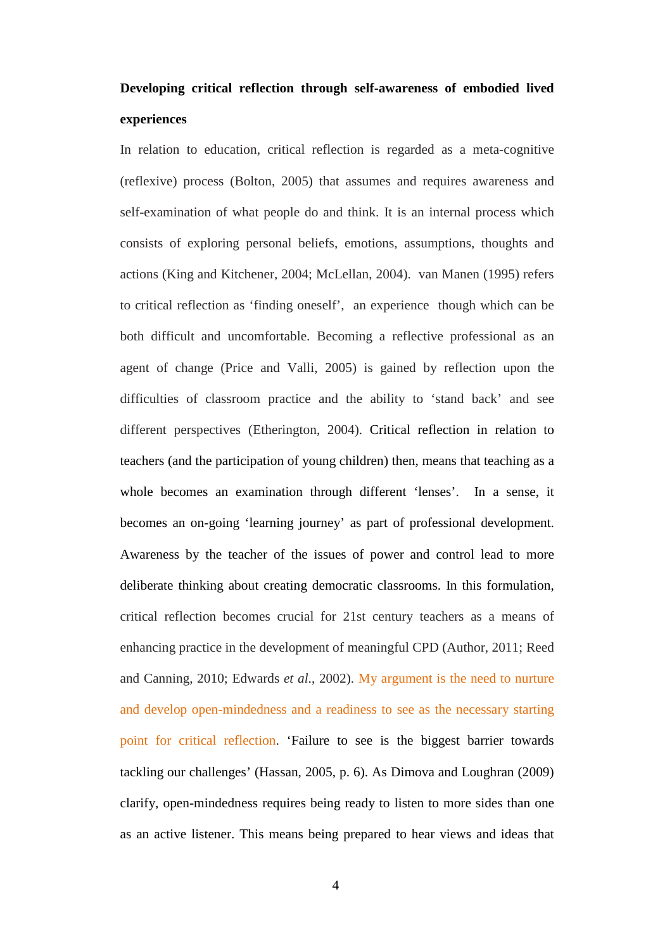# **Developing critical reflection through self-awareness of embodied lived experiences**

In relation to education, critical reflection is regarded as a meta-cognitive (reflexive) process (Bolton, 2005) that assumes and requires awareness and self-examination of what people do and think. It is an internal process which consists of exploring personal beliefs, emotions, assumptions, thoughts and actions (King and Kitchener, 2004; McLellan, 2004). van Manen (1995) refers to critical reflection as 'finding oneself', an experience though which can be both difficult and uncomfortable. Becoming a reflective professional as an agent of change (Price and Valli, 2005) is gained by reflection upon the difficulties of classroom practice and the ability to 'stand back' and see different perspectives (Etherington, 2004). Critical reflection in relation to teachers (and the participation of young children) then, means that teaching as a whole becomes an examination through different 'lenses'. In a sense, it becomes an on-going 'learning journey' as part of professional development. Awareness by the teacher of the issues of power and control lead to more deliberate thinking about creating democratic classrooms. In this formulation, critical reflection becomes crucial for 21st century teachers as a means of enhancing practice in the development of meaningful CPD (Author, 2011; Reed and Canning, 2010; Edwards *et al*., 2002). My argument is the need to nurture and develop open-mindedness and a readiness to see as the necessary starting point for critical reflection. 'Failure to see is the biggest barrier towards tackling our challenges' (Hassan, 2005, p. 6). As Dimova and Loughran (2009) clarify, open-mindedness requires being ready to listen to more sides than one as an active listener. This means being prepared to hear views and ideas that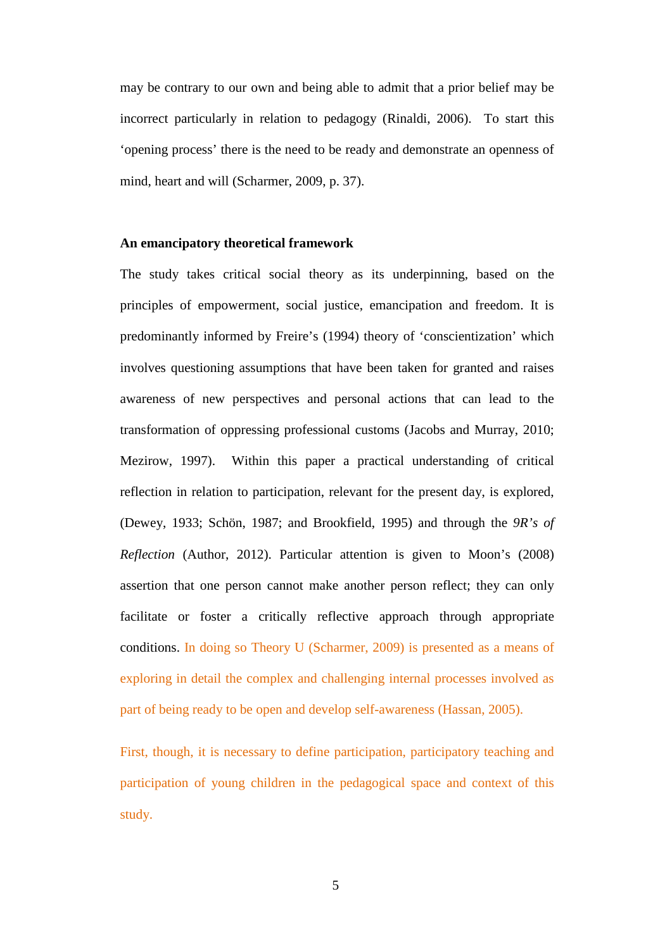may be contrary to our own and being able to admit that a prior belief may be incorrect particularly in relation to pedagogy (Rinaldi, 2006). To start this 'opening process' there is the need to be ready and demonstrate an openness of mind, heart and will (Scharmer, 2009, p. 37).

#### **An emancipatory theoretical framework**

The study takes critical social theory as its underpinning, based on the principles of empowerment, social justice, emancipation and freedom. It is predominantly informed by Freire's (1994) theory of 'conscientization' which involves questioning assumptions that have been taken for granted and raises awareness of new perspectives and personal actions that can lead to the transformation of oppressing professional customs (Jacobs and Murray, 2010; Mezirow, 1997). Within this paper a practical understanding of critical reflection in relation to participation, relevant for the present day, is explored, (Dewey, 1933; Schön, 1987; and Brookfield, 1995) and through the *9R's of Reflection* (Author, 2012). Particular attention is given to Moon's (2008) assertion that one person cannot make another person reflect; they can only facilitate or foster a critically reflective approach through appropriate conditions. In doing so Theory U (Scharmer, 2009) is presented as a means of exploring in detail the complex and challenging internal processes involved as part of being ready to be open and develop self-awareness (Hassan, 2005).

First, though, it is necessary to define participation, participatory teaching and participation of young children in the pedagogical space and context of this study.

5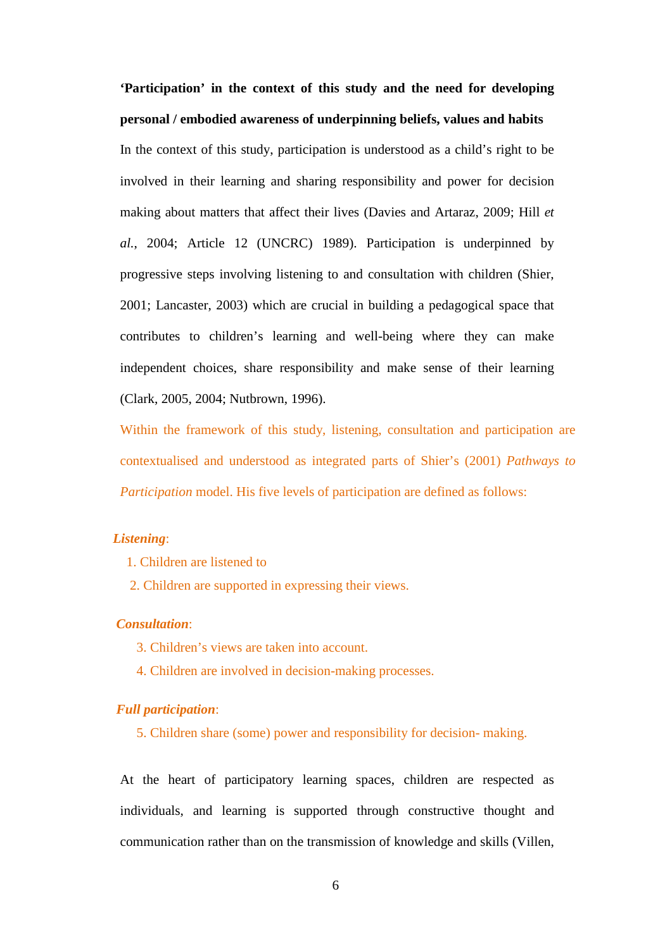**'Participation' in the context of this study and the need for developing personal / embodied awareness of underpinning beliefs, values and habits**

In the context of this study, participation is understood as a child's right to be involved in their learning and sharing responsibility and power for decision making about matters that affect their lives (Davies and Artaraz, 2009; Hill *et al.*, 2004; Article 12 (UNCRC) 1989). Participation is underpinned by progressive steps involving listening to and consultation with children (Shier, 2001; Lancaster, 2003) which are crucial in building a pedagogical space that contributes to children's learning and well-being where they can make independent choices, share responsibility and make sense of their learning (Clark, 2005, 2004; Nutbrown, 1996).

Within the framework of this study, listening, consultation and participation are contextualised and understood as integrated parts of Shier's (2001) *Pathways to Participation* model. His five levels of participation are defined as follows:

## *Listening*:

- 1. Children are listened to
- 2. Children are supported in expressing their views.

## *Consultation*:

- 3. Children's views are taken into account.
- 4. Children are involved in decision-making processes.

## *Full participation*:

5. Children share (some) power and responsibility for decision- making.

At the heart of participatory learning spaces, children are respected as individuals, and learning is supported through constructive thought and communication rather than on the transmission of knowledge and skills (Villen,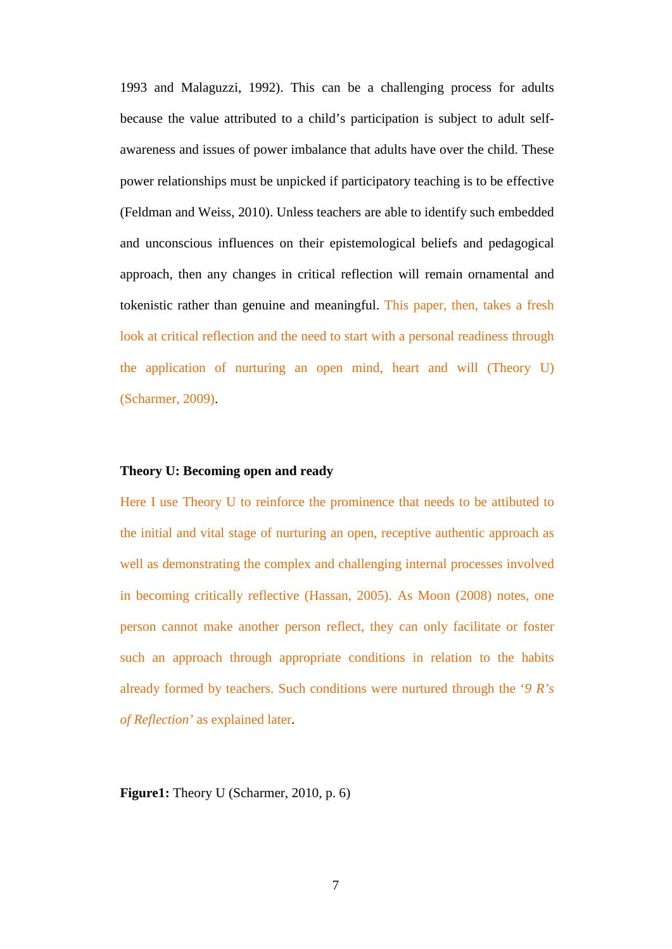1993 and Malaguzzi, 1992). This can be a challenging process for adults because the value attributed to a child's participation is subject to adult selfawareness and issues of power imbalance that adults have over the child. These power relationships must be unpicked if participatory teaching is to be effective (Feldman and Weiss, 2010). Unless teachers are able to identify such embedded and unconscious influences on their epistemological beliefs and pedagogical approach, then any changes in critical reflection will remain ornamental and tokenistic rather than genuine and meaningful. This paper, then, takes a fresh look at critical reflection and the need to start with a personal readiness through the application of nurturing an open mind, heart and will (Theory U) (Scharmer, 2009).

### **Theory U: Becoming open and ready**

Here I use Theory U to reinforce the prominence that needs to be attibuted to the initial and vital stage of nurturing an open, receptive authentic approach as well as demonstrating the complex and challenging internal processes involved in becoming critically reflective (Hassan, 2005). As Moon (2008) notes, one person cannot make another person reflect, they can only facilitate or foster such an approach through appropriate conditions in relation to the habits already formed by teachers. Such conditions were nurtured through the '*9 R's of Reflection'* as explained later.

**Figure1:** Theory U (Scharmer, 2010, p. 6)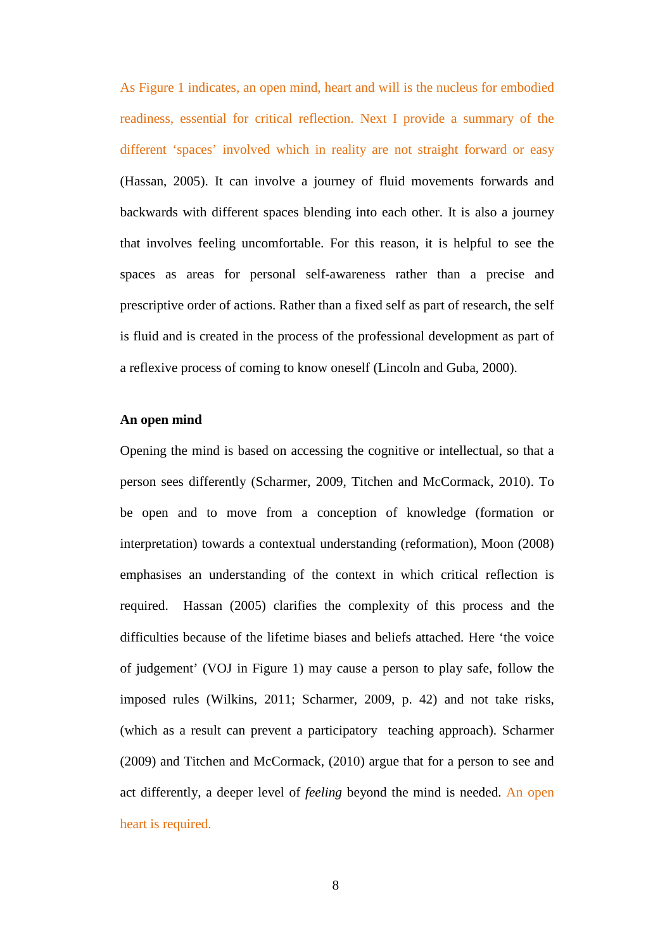As Figure 1 indicates, an open mind, heart and will is the nucleus for embodied readiness, essential for critical reflection. Next I provide a summary of the different 'spaces' involved which in reality are not straight forward or easy (Hassan, 2005). It can involve a journey of fluid movements forwards and backwards with different spaces blending into each other. It is also a journey that involves feeling uncomfortable. For this reason, it is helpful to see the spaces as areas for personal self-awareness rather than a precise and prescriptive order of actions. Rather than a fixed self as part of research, the self is fluid and is created in the process of the professional development as part of a reflexive process of coming to know oneself (Lincoln and Guba, 2000).

### **An open mind**

Opening the mind is based on accessing the cognitive or intellectual, so that a person sees differently (Scharmer, 2009, Titchen and McCormack, 2010). To be open and to move from a conception of knowledge (formation or interpretation) towards a contextual understanding (reformation), Moon (2008) emphasises an understanding of the context in which critical reflection is required. Hassan (2005) clarifies the complexity of this process and the difficulties because of the lifetime biases and beliefs attached. Here 'the voice of judgement' (VOJ in Figure 1) may cause a person to play safe, follow the imposed rules (Wilkins, 2011; Scharmer, 2009, p. 42) and not take risks, (which as a result can prevent a participatory teaching approach). Scharmer (2009) and Titchen and McCormack, (2010) argue that for a person to see and act differently, a deeper level of *feeling* beyond the mind is needed. An open heart is required.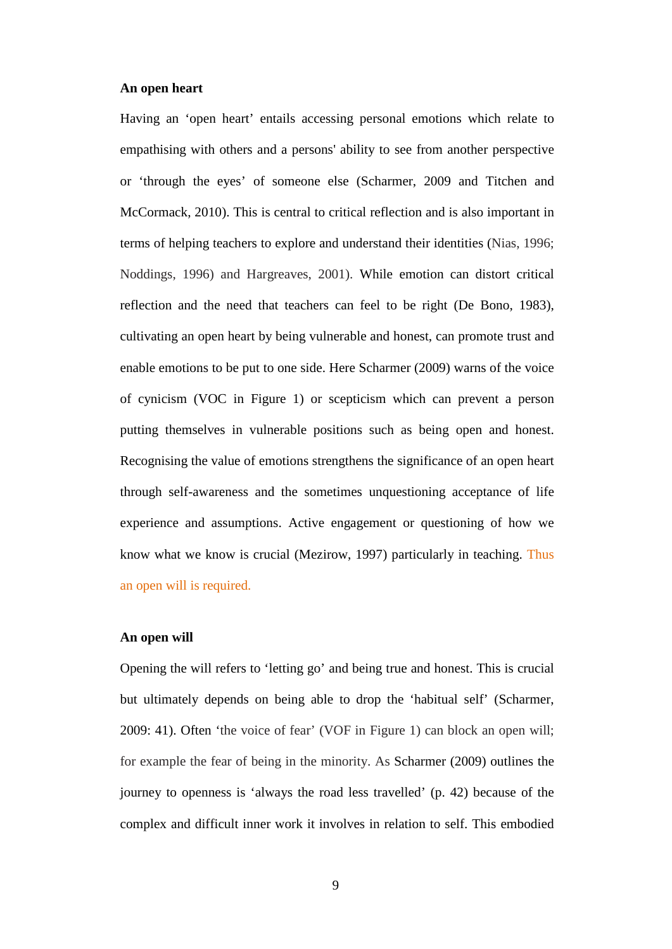#### **An open heart**

Having an 'open heart' entails accessing personal emotions which relate to empathising with others and a persons' ability to see from another perspective or 'through the eyes' of someone else (Scharmer, 2009 and Titchen and McCormack, 2010). This is central to critical reflection and is also important in terms of helping teachers to explore and understand their identities (Nias, 1996; Noddings, 1996) and Hargreaves, 2001). While emotion can distort critical reflection and the need that teachers can feel to be right (De Bono, 1983), cultivating an open heart by being vulnerable and honest, can promote trust and enable emotions to be put to one side. Here Scharmer (2009) warns of the voice of cynicism (VOC in Figure 1) or scepticism which can prevent a person putting themselves in vulnerable positions such as being open and honest. Recognising the value of emotions strengthens the significance of an open heart through self-awareness and the sometimes unquestioning acceptance of life experience and assumptions. Active engagement or questioning of how we know what we know is crucial (Mezirow, 1997) particularly in teaching. Thus an open will is required.

#### **An open will**

Opening the will refers to 'letting go' and being true and honest. This is crucial but ultimately depends on being able to drop the 'habitual self' (Scharmer, 2009: 41). Often 'the voice of fear' (VOF in Figure 1) can block an open will; for example the fear of being in the minority. As Scharmer (2009) outlines the journey to openness is 'always the road less travelled' (p. 42) because of the complex and difficult inner work it involves in relation to self. This embodied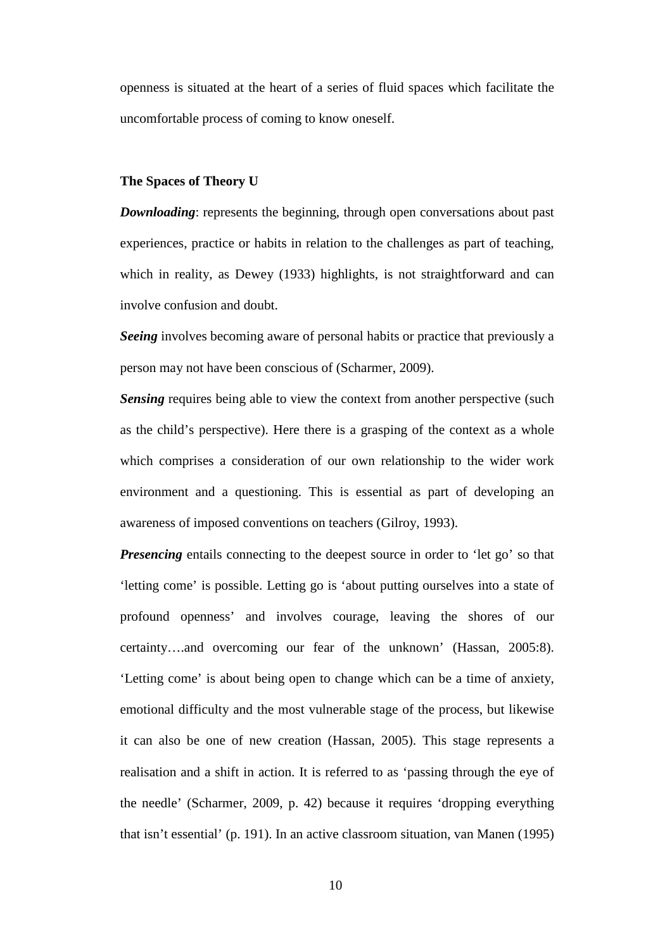openness is situated at the heart of a series of fluid spaces which facilitate the uncomfortable process of coming to know oneself.

#### **The Spaces of Theory U**

*Downloading*: represents the beginning, through open conversations about past experiences, practice or habits in relation to the challenges as part of teaching, which in reality, as Dewey (1933) highlights, is not straightforward and can involve confusion and doubt.

*Seeing* involves becoming aware of personal habits or practice that previously a person may not have been conscious of (Scharmer, 2009).

*Sensing* requires being able to view the context from another perspective (such as the child's perspective). Here there is a grasping of the context as a whole which comprises a consideration of our own relationship to the wider work environment and a questioning. This is essential as part of developing an awareness of imposed conventions on teachers (Gilroy, 1993).

*Presencing* entails connecting to the deepest source in order to 'let go' so that 'letting come' is possible. Letting go is 'about putting ourselves into a state of profound openness' and involves courage, leaving the shores of our certainty….and overcoming our fear of the unknown' (Hassan, 2005:8). 'Letting come' is about being open to change which can be a time of anxiety, emotional difficulty and the most vulnerable stage of the process, but likewise it can also be one of new creation (Hassan, 2005). This stage represents a realisation and a shift in action. It is referred to as 'passing through the eye of the needle' (Scharmer, 2009, p. 42) because it requires 'dropping everything that isn't essential' (p. 191). In an active classroom situation, van Manen (1995)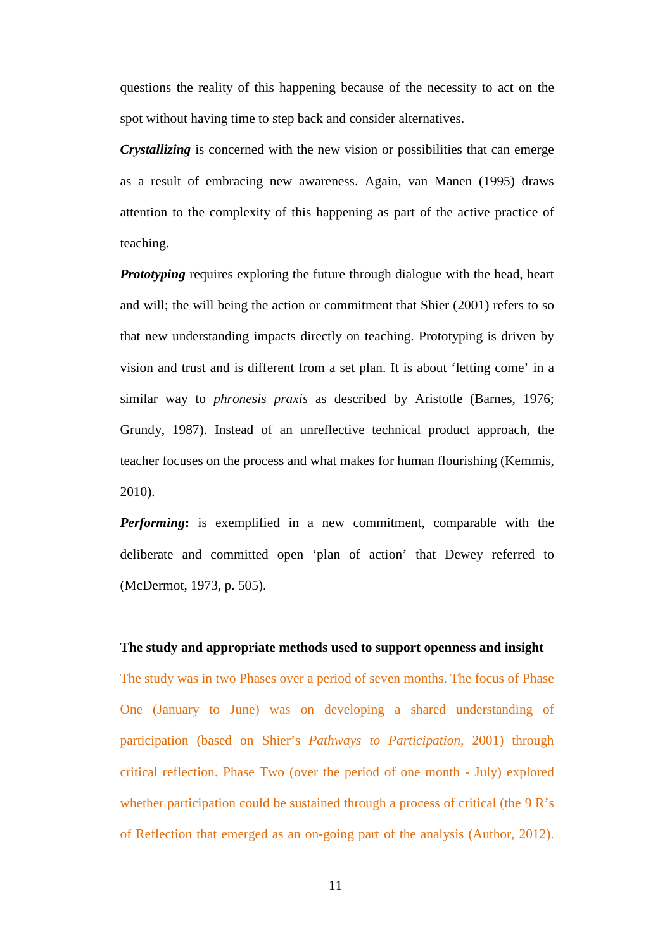questions the reality of this happening because of the necessity to act on the spot without having time to step back and consider alternatives.

*Crystallizing* is concerned with the new vision or possibilities that can emerge as a result of embracing new awareness. Again, van Manen (1995) draws attention to the complexity of this happening as part of the active practice of teaching.

*Prototyping* requires exploring the future through dialogue with the head, heart and will; the will being the action or commitment that Shier (2001) refers to so that new understanding impacts directly on teaching. Prototyping is driven by vision and trust and is different from a set plan. It is about 'letting come' in a similar way to *phronesis praxis* as described by Aristotle (Barnes, 1976; Grundy, 1987). Instead of an unreflective technical product approach, the teacher focuses on the process and what makes for human flourishing (Kemmis, 2010).

*Performing***:** is exemplified in a new commitment, comparable with the deliberate and committed open 'plan of action' that Dewey referred to (McDermot, 1973, p. 505).

#### **The study and appropriate methods used to support openness and insight**

The study was in two Phases over a period of seven months. The focus of Phase One (January to June) was on developing a shared understanding of participation (based on Shier's *Pathways to Participation,* 2001) through critical reflection. Phase Two (over the period of one month - July) explored whether participation could be sustained through a process of critical (the 9 R's of Reflection that emerged as an on-going part of the analysis (Author, 2012).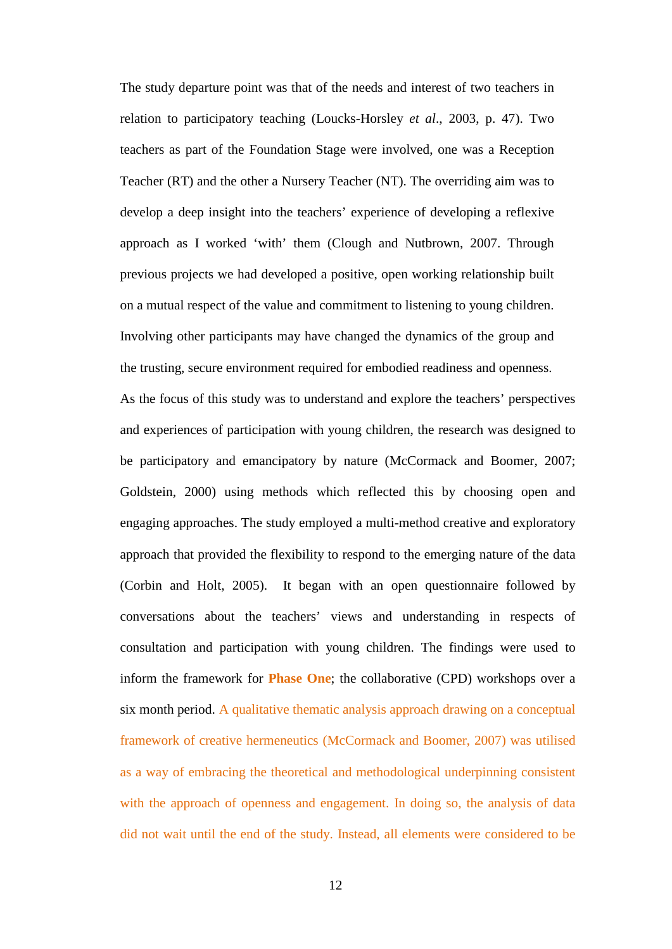The study departure point was that of the needs and interest of two teachers in relation to participatory teaching (Loucks-Horsley *et al*., 2003, p. 47). Two teachers as part of the Foundation Stage were involved, one was a Reception Teacher (RT) and the other a Nursery Teacher (NT). The overriding aim was to develop a deep insight into the teachers' experience of developing a reflexive approach as I worked 'with' them (Clough and Nutbrown, 2007. Through previous projects we had developed a positive, open working relationship built on a mutual respect of the value and commitment to listening to young children. Involving other participants may have changed the dynamics of the group and the trusting, secure environment required for embodied readiness and openness. As the focus of this study was to understand and explore the teachers' perspectives and experiences of participation with young children, the research was designed to be participatory and emancipatory by nature (McCormack and Boomer, 2007; Goldstein, 2000) using methods which reflected this by choosing open and engaging approaches. The study employed a multi-method creative and exploratory approach that provided the flexibility to respond to the emerging nature of the data (Corbin and Holt, 2005). It began with an open questionnaire followed by conversations about the teachers' views and understanding in respects of consultation and participation with young children. The findings were used to inform the framework for **Phase One**; the collaborative (CPD) workshops over a six month period. A qualitative thematic analysis approach drawing on a conceptual framework of creative hermeneutics (McCormack and Boomer, 2007) was utilised as a way of embracing the theoretical and methodological underpinning consistent with the approach of openness and engagement. In doing so, the analysis of data did not wait until the end of the study. Instead, all elements were considered to be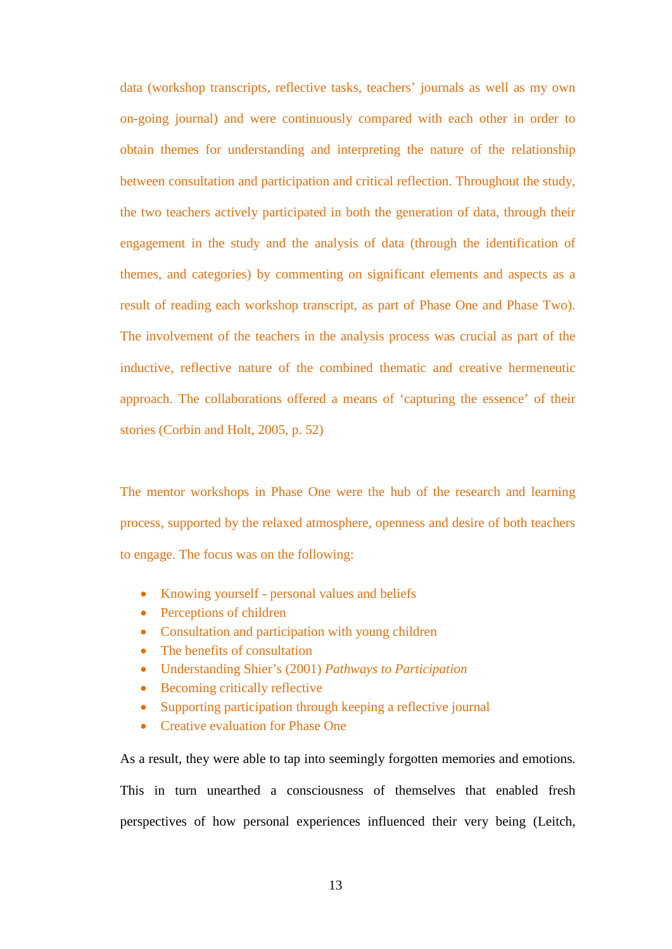data (workshop transcripts, reflective tasks, teachers' journals as well as my own on-going journal) and were continuously compared with each other in order to obtain themes for understanding and interpreting the nature of the relationship between consultation and participation and critical reflection. Throughout the study, the two teachers actively participated in both the generation of data, through their engagement in the study and the analysis of data (through the identification of themes, and categories) by commenting on significant elements and aspects as a result of reading each workshop transcript, as part of Phase One and Phase Two). The involvement of the teachers in the analysis process was crucial as part of the inductive, reflective nature of the combined thematic and creative hermeneutic approach. The collaborations offered a means of 'capturing the essence' of their stories (Corbin and Holt, 2005, p. 52)

The mentor workshops in Phase One were the hub of the research and learning process, supported by the relaxed atmosphere, openness and desire of both teachers to engage. The focus was on the following:

- Knowing yourself personal values and beliefs
- Perceptions of children
- Consultation and participation with young children
- The benefits of consultation
- Understanding Shier's (2001) *Pathways to Participation*
- Becoming critically reflective
- Supporting participation through keeping a reflective journal
- Creative evaluation for Phase One

As a result, they were able to tap into seemingly forgotten memories and emotions. This in turn unearthed a consciousness of themselves that enabled fresh perspectives of how personal experiences influenced their very being (Leitch,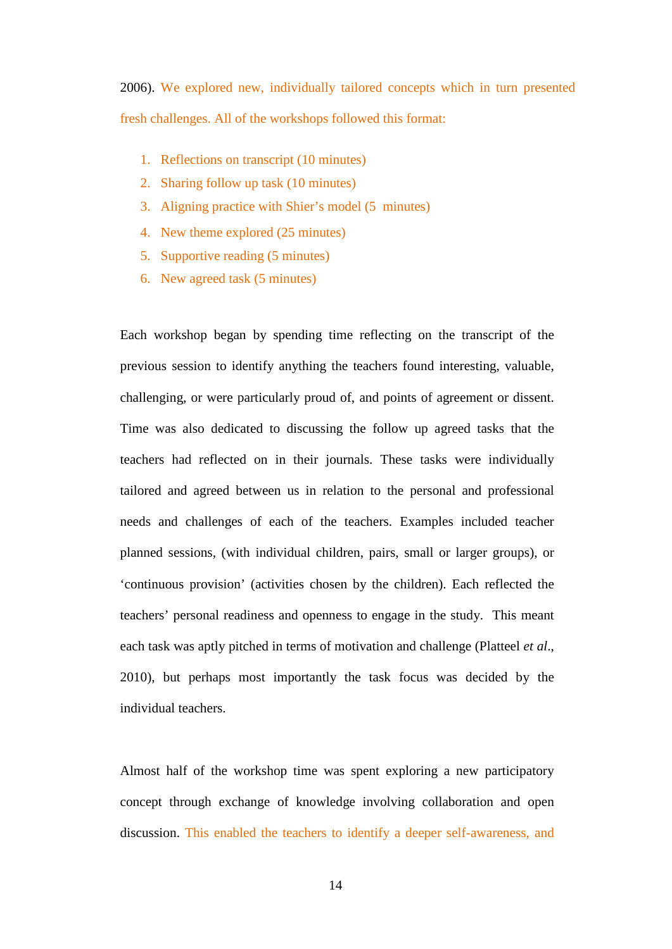2006). We explored new, individually tailored concepts which in turn presented fresh challenges. All of the workshops followed this format:

- 1. Reflections on transcript (10 minutes)
- 2. Sharing follow up task (10 minutes)
- 3. Aligning practice with Shier's model (5 minutes)
- 4. New theme explored (25 minutes)
- 5. Supportive reading (5 minutes)
- 6. New agreed task (5 minutes)

Each workshop began by spending time reflecting on the transcript of the previous session to identify anything the teachers found interesting, valuable, challenging, or were particularly proud of, and points of agreement or dissent. Time was also dedicated to discussing the follow up agreed tasks that the teachers had reflected on in their journals. These tasks were individually tailored and agreed between us in relation to the personal and professional needs and challenges of each of the teachers. Examples included teacher planned sessions, (with individual children, pairs, small or larger groups), or 'continuous provision' (activities chosen by the children). Each reflected the teachers' personal readiness and openness to engage in the study. This meant each task was aptly pitched in terms of motivation and challenge (Platteel *et al*., 2010), but perhaps most importantly the task focus was decided by the individual teachers.

Almost half of the workshop time was spent exploring a new participatory concept through exchange of knowledge involving collaboration and open discussion. This enabled the teachers to identify a deeper self-awareness, and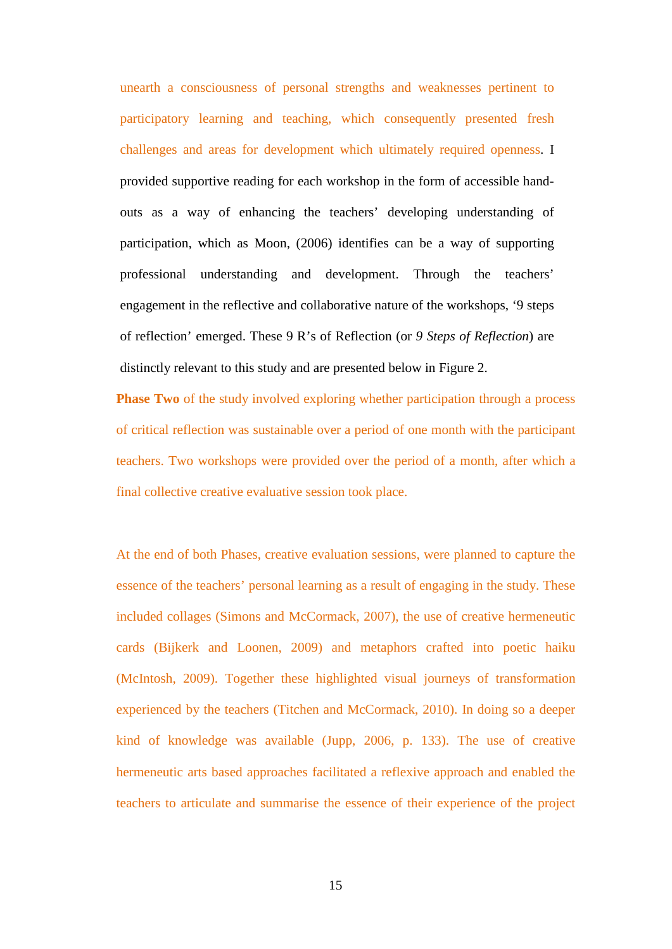unearth a consciousness of personal strengths and weaknesses pertinent to participatory learning and teaching, which consequently presented fresh challenges and areas for development which ultimately required openness. I provided supportive reading for each workshop in the form of accessible handouts as a way of enhancing the teachers' developing understanding of participation, which as Moon, (2006) identifies can be a way of supporting professional understanding and development. Through the teachers' engagement in the reflective and collaborative nature of the workshops, '9 steps of reflection' emerged. These 9 R's of Reflection (or *9 Steps of Reflection*) are distinctly relevant to this study and are presented below in Figure 2.

**Phase Two** of the study involved exploring whether participation through a process of critical reflection was sustainable over a period of one month with the participant teachers. Two workshops were provided over the period of a month, after which a final collective creative evaluative session took place.

At the end of both Phases, creative evaluation sessions, were planned to capture the essence of the teachers' personal learning as a result of engaging in the study. These included collages (Simons and McCormack, 2007), the use of creative hermeneutic cards (Bijkerk and Loonen, 2009) and metaphors crafted into poetic haiku (McIntosh, 2009). Together these highlighted visual journeys of transformation experienced by the teachers (Titchen and McCormack, 2010). In doing so a deeper kind of knowledge was available (Jupp, 2006, p. 133). The use of creative hermeneutic arts based approaches facilitated a reflexive approach and enabled the teachers to articulate and summarise the essence of their experience of the project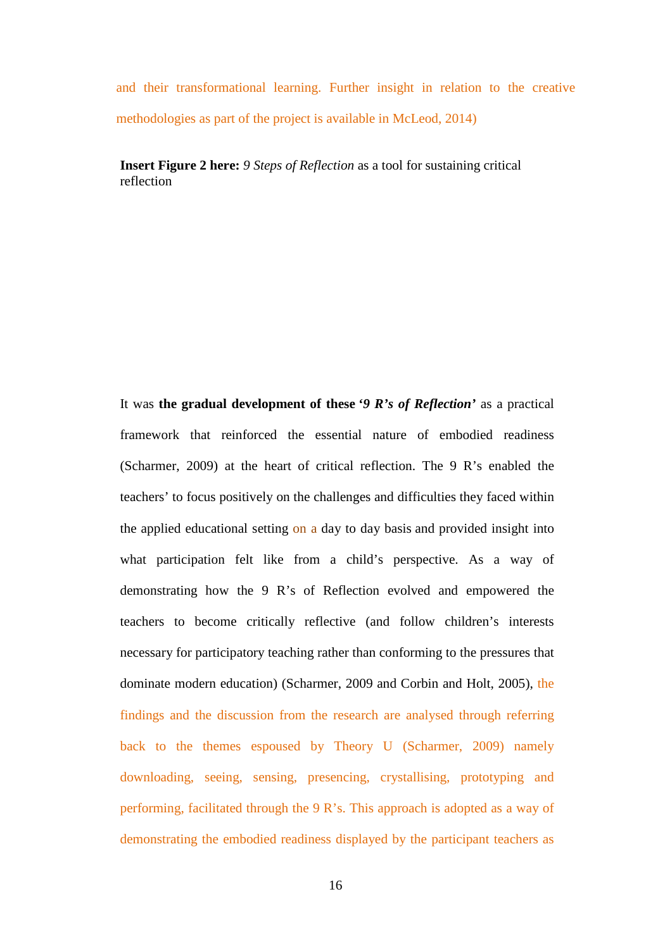and their transformational learning. Further insight in relation to the creative methodologies as part of the project is available in McLeod, 2014)

**Insert Figure 2 here:** *9 Steps of Reflection* as a tool for sustaining critical reflection

It was **the gradual development of these '***9 R's of Reflection'* as a practical framework that reinforced the essential nature of embodied readiness (Scharmer, 2009) at the heart of critical reflection. The 9 R's enabled the teachers' to focus positively on the challenges and difficulties they faced within the applied educational setting on a day to day basis and provided insight into what participation felt like from a child's perspective. As a way of demonstrating how the 9 R's of Reflection evolved and empowered the teachers to become critically reflective (and follow children's interests necessary for participatory teaching rather than conforming to the pressures that dominate modern education) (Scharmer, 2009 and Corbin and Holt, 2005), the findings and the discussion from the research are analysed through referring back to the themes espoused by Theory U (Scharmer, 2009) namely downloading, seeing, sensing, presencing, crystallising, prototyping and performing, facilitated through the 9 R's. This approach is adopted as a way of demonstrating the embodied readiness displayed by the participant teachers as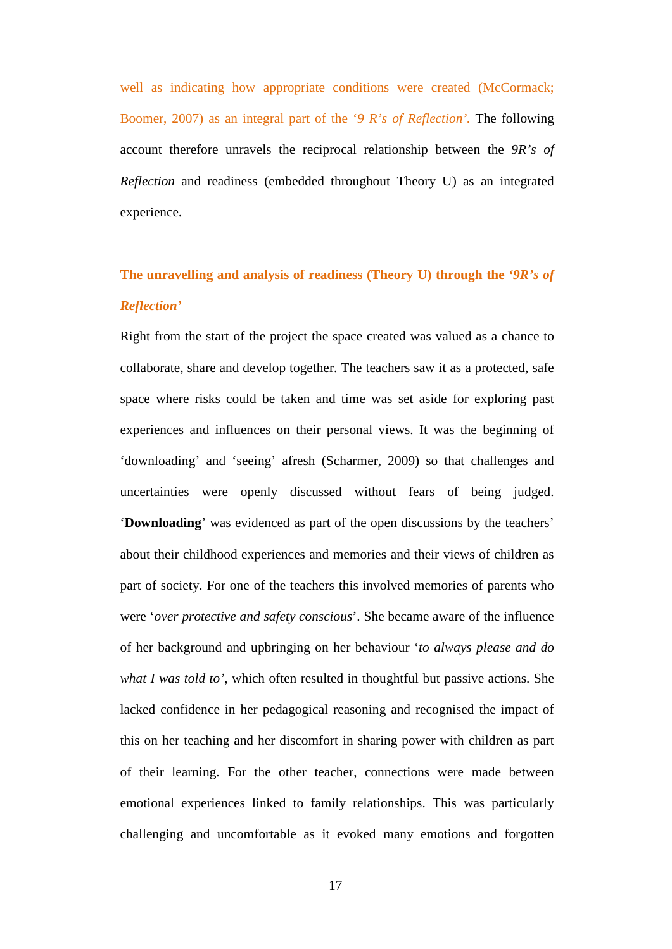well as indicating how appropriate conditions were created (McCormack; Boomer, 2007) as an integral part of the '*9 R's of Reflection'.* The following account therefore unravels the reciprocal relationship between the *9R's of Reflection* and readiness (embedded throughout Theory U) as an integrated experience.

# **The unravelling and analysis of readiness (Theory U) through the** *'9R's of Reflection'*

Right from the start of the project the space created was valued as a chance to collaborate, share and develop together. The teachers saw it as a protected, safe space where risks could be taken and time was set aside for exploring past experiences and influences on their personal views. It was the beginning of 'downloading' and 'seeing' afresh (Scharmer, 2009) so that challenges and uncertainties were openly discussed without fears of being judged. '**Downloading**' was evidenced as part of the open discussions by the teachers' about their childhood experiences and memories and their views of children as part of society. For one of the teachers this involved memories of parents who were '*over protective and safety conscious*'. She became aware of the influence of her background and upbringing on her behaviour '*to always please and do what I was told to'*, which often resulted in thoughtful but passive actions. She lacked confidence in her pedagogical reasoning and recognised the impact of this on her teaching and her discomfort in sharing power with children as part of their learning. For the other teacher, connections were made between emotional experiences linked to family relationships. This was particularly challenging and uncomfortable as it evoked many emotions and forgotten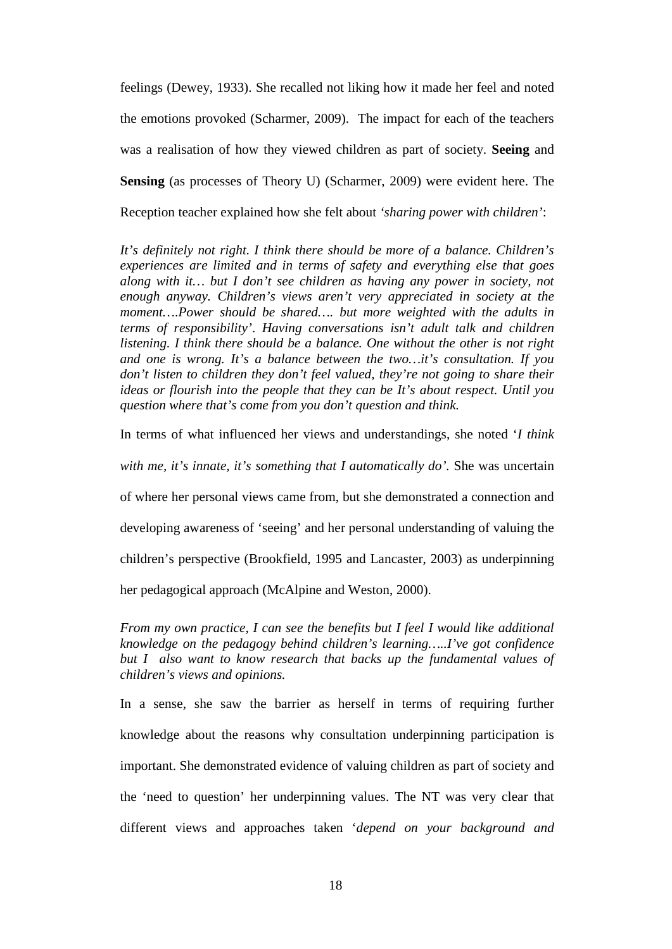feelings (Dewey, 1933). She recalled not liking how it made her feel and noted the emotions provoked (Scharmer, 2009). The impact for each of the teachers was a realisation of how they viewed children as part of society. **Seeing** and **Sensing** (as processes of Theory U) (Scharmer, 2009) were evident here. The Reception teacher explained how she felt about *'sharing power with children'*:

*It's definitely not right. I think there should be more of a balance. Children's experiences are limited and in terms of safety and everything else that goes along with it… but I don't see children as having any power in society, not enough anyway. Children's views aren't very appreciated in society at the moment…*.*Power should be shared…. but more weighted with the adults in terms of responsibility'*. *Having conversations isn't adult talk and children listening. I think there should be a balance. One without the other is not right and one is wrong. It's a balance between the two…it's consultation. If you don't listen to children they don't feel valued, they're not going to share their ideas or flourish into the people that they can be It's about respect. Until you question where that's come from you don't question and think.* 

In terms of what influenced her views and understandings, she noted '*I think* 

*with me, it's innate, it's something that I automatically do'.* She was uncertain

of where her personal views came from, but she demonstrated a connection and

developing awareness of 'seeing' and her personal understanding of valuing the

children's perspective (Brookfield, 1995 and Lancaster, 2003) as underpinning

her pedagogical approach (McAlpine and Weston, 2000).

*From my own practice, I can see the benefits but I feel I would like additional knowledge on the pedagogy behind children's learning…..I've got confidence but I also want to know research that backs up the fundamental values of children's views and opinions.* 

In a sense, she saw the barrier as herself in terms of requiring further knowledge about the reasons why consultation underpinning participation is important. She demonstrated evidence of valuing children as part of society and the 'need to question' her underpinning values. The NT was very clear that different views and approaches taken '*depend on your background and*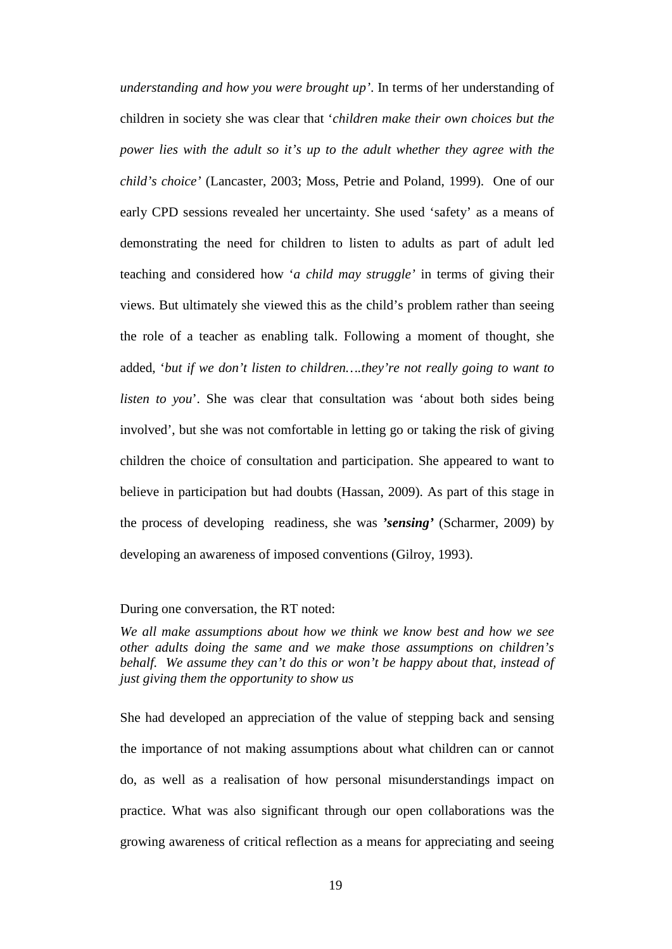*understanding and how you were brought up'*. In terms of her understanding of children in society she was clear that '*children make their own choices but the power lies with the adult so it's up to the adult whether they agree with the child's choice'* (Lancaster, 2003; Moss, Petrie and Poland, 1999). One of our early CPD sessions revealed her uncertainty. She used 'safety' as a means of demonstrating the need for children to listen to adults as part of adult led teaching and considered how '*a child may struggle'* in terms of giving their views. But ultimately she viewed this as the child's problem rather than seeing the role of a teacher as enabling talk. Following a moment of thought, she added, '*but if we don't listen to children….they're not really going to want to listen to you*'. She was clear that consultation was 'about both sides being involved', but she was not comfortable in letting go or taking the risk of giving children the choice of consultation and participation. She appeared to want to believe in participation but had doubts (Hassan, 2009). As part of this stage in the process of developing readiness, she was *'sensing'* (Scharmer, 2009) by developing an awareness of imposed conventions (Gilroy, 1993).

### During one conversation, the RT noted:

*We all make assumptions about how we think we know best and how we see other adults doing the same and we make those assumptions on children's behalf. We assume they can't do this or won't be happy about that, instead of just giving them the opportunity to show us*

She had developed an appreciation of the value of stepping back and sensing the importance of not making assumptions about what children can or cannot do, as well as a realisation of how personal misunderstandings impact on practice. What was also significant through our open collaborations was the growing awareness of critical reflection as a means for appreciating and seeing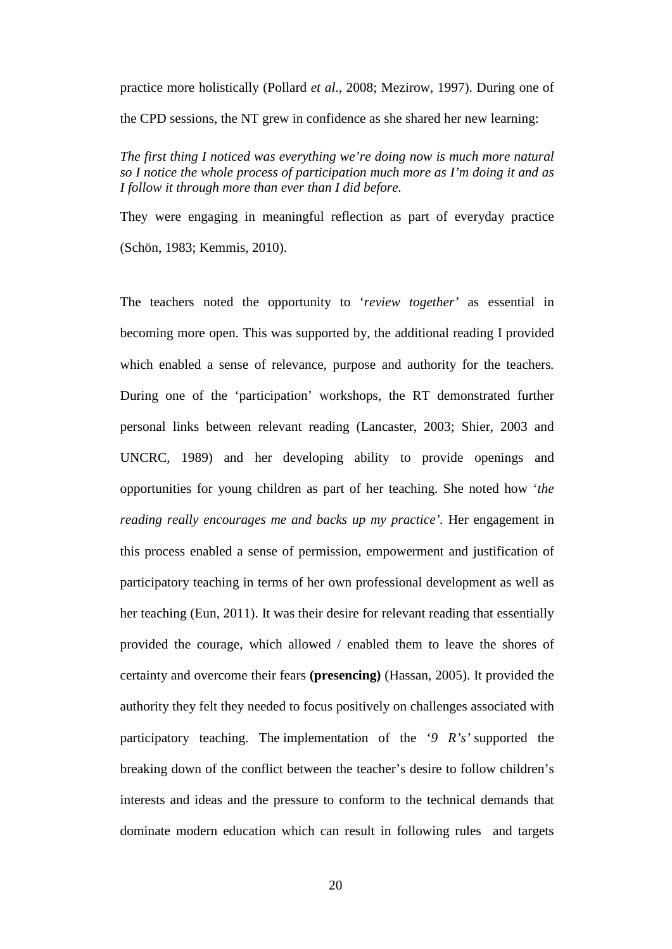practice more holistically (Pollard *et al*., 2008; Mezirow, 1997). During one of the CPD sessions, the NT grew in confidence as she shared her new learning:

*The first thing I noticed was everything we're doing now is much more natural so I notice the whole process of participation much more as I'm doing it and as I follow it through more than ever than I did before.*

They were engaging in meaningful reflection as part of everyday practice (Schön, 1983; Kemmis, 2010).

The teachers noted the opportunity to '*review together'* as essential in becoming more open. This was supported by, the additional reading I provided which enabled a sense of relevance, purpose and authority for the teachers*.* During one of the 'participation' workshops, the RT demonstrated further personal links between relevant reading (Lancaster, 2003; Shier, 2003 and UNCRC, 1989) and her developing ability to provide openings and opportunities for young children as part of her teaching. She noted how '*the reading really encourages me and backs up my practice'.* Her engagement in this process enabled a sense of permission, empowerment and justification of participatory teaching in terms of her own professional development as well as her teaching (Eun, 2011). It was their desire for relevant reading that essentially provided the courage, which allowed / enabled them to leave the shores of certainty and overcome their fears **(presencing)** (Hassan, 2005). It provided the authority they felt they needed to focus positively on challenges associated with participatory teaching. The implementation of the '*9 R's'* supported the breaking down of the conflict between the teacher's desire to follow children's interests and ideas and the pressure to conform to the technical demands that dominate modern education which can result in following rules and targets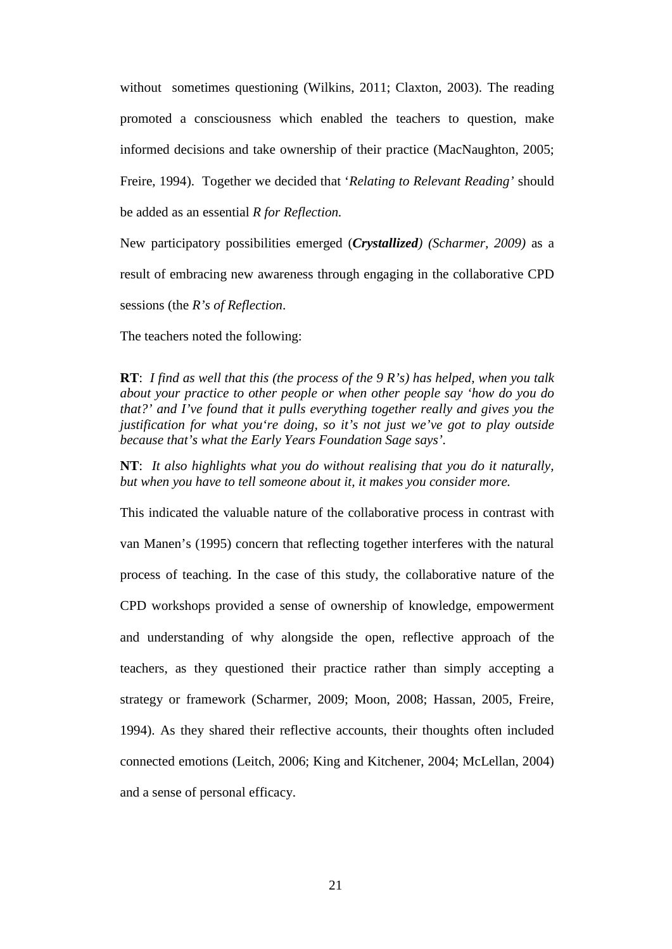without sometimes questioning (Wilkins, 2011; Claxton, 2003). The reading promoted a consciousness which enabled the teachers to question, make informed decisions and take ownership of their practice (MacNaughton, 2005; Freire, 1994). Together we decided that '*Relating to Relevant Reading'* should be added as an essential *R for Reflection.*

New participatory possibilities emerged (*Crystallized) (Scharmer, 2009)* as a result of embracing new awareness through engaging in the collaborative CPD sessions (the *R's of Reflection*.

The teachers noted the following:

**RT**: *I find as well that this (the process of the 9 R's) has helped, when you talk about your practice to other people or when other people say 'how do you do that?' and I've found that it pulls everything together really and gives you the justification for what you're doing, so it's not just we've got to play outside because that's what the Early Years Foundation Sage says'.*

**NT**: *It also highlights what you do without realising that you do it naturally, but when you have to tell someone about it, it makes you consider more.*

This indicated the valuable nature of the collaborative process in contrast with van Manen's (1995) concern that reflecting together interferes with the natural process of teaching. In the case of this study, the collaborative nature of the CPD workshops provided a sense of ownership of knowledge, empowerment and understanding of why alongside the open, reflective approach of the teachers, as they questioned their practice rather than simply accepting a strategy or framework (Scharmer, 2009; Moon, 2008; Hassan, 2005, Freire, 1994). As they shared their reflective accounts, their thoughts often included connected emotions (Leitch, 2006; King and Kitchener, 2004; McLellan, 2004) and a sense of personal efficacy.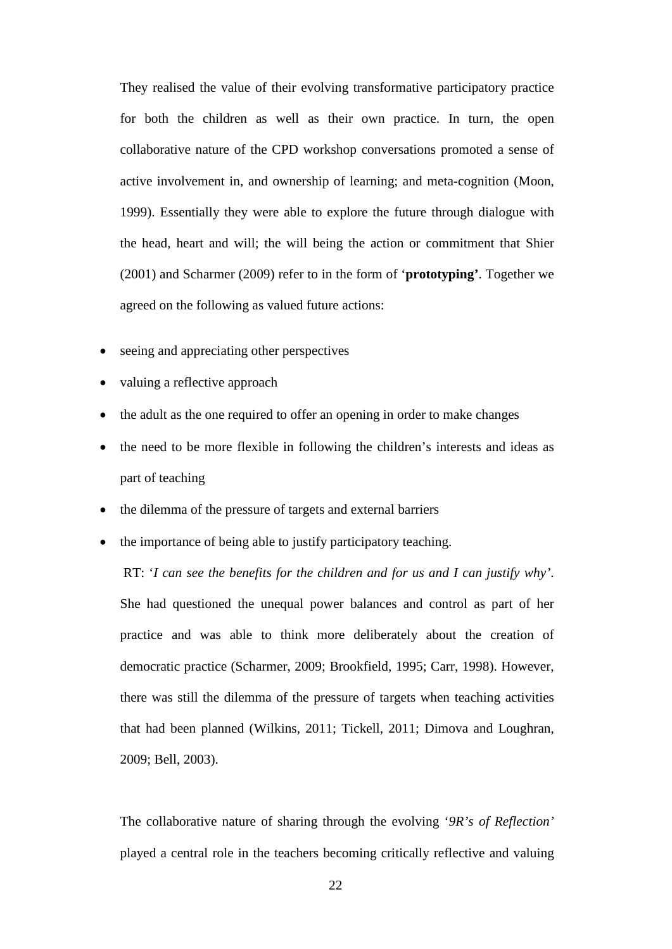They realised the value of their evolving transformative participatory practice for both the children as well as their own practice. In turn, the open collaborative nature of the CPD workshop conversations promoted a sense of active involvement in, and ownership of learning; and meta-cognition (Moon, 1999). Essentially they were able to explore the future through dialogue with the head, heart and will; the will being the action or commitment that Shier (2001) and Scharmer (2009) refer to in the form of '**prototyping'**. Together we agreed on the following as valued future actions:

- seeing and appreciating other perspectives
- valuing a reflective approach
- the adult as the one required to offer an opening in order to make changes
- the need to be more flexible in following the children's interests and ideas as part of teaching
- the dilemma of the pressure of targets and external barriers
- the importance of being able to justify participatory teaching.

RT: '*I can see the benefits for the children and for us and I can justify why'*. She had questioned the unequal power balances and control as part of her practice and was able to think more deliberately about the creation of democratic practice (Scharmer, 2009; Brookfield, 1995; Carr, 1998). However, there was still the dilemma of the pressure of targets when teaching activities that had been planned (Wilkins, 2011; Tickell, 2011; Dimova and Loughran, 2009; Bell, 2003).

The collaborative nature of sharing through the evolving '*9R's of Reflection'* played a central role in the teachers becoming critically reflective and valuing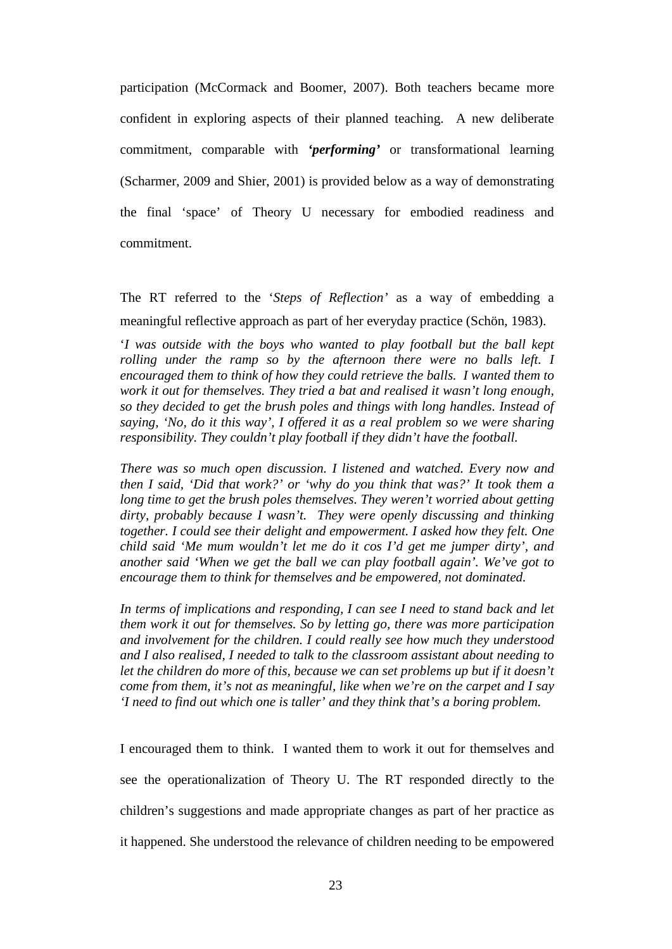participation (McCormack and Boomer, 2007). Both teachers became more confident in exploring aspects of their planned teaching. A new deliberate commitment, comparable with *'performing'* or transformational learning (Scharmer, 2009 and Shier, 2001) is provided below as a way of demonstrating the final 'space' of Theory U necessary for embodied readiness and commitment.

The RT referred to the '*Steps of Reflection'* as a way of embedding a meaningful reflective approach as part of her everyday practice (Schön, 1983).

'*I was outside with the boys who wanted to play football but the ball kept rolling under the ramp so by the afternoon there were no balls left. I encouraged them to think of how they could retrieve the balls. I wanted them to work it out for themselves. They tried a bat and realised it wasn't long enough, so they decided to get the brush poles and things with long handles. Instead of saying, 'No, do it this way', I offered it as a real problem so we were sharing responsibility. They couldn't play football if they didn't have the football.*

*There was so much open discussion. I listened and watched. Every now and then I said, 'Did that work?' or 'why do you think that was?' It took them a long time to get the brush poles themselves. They weren't worried about getting dirty, probably because I wasn't. They were openly discussing and thinking together. I could see their delight and empowerment. I asked how they felt. One child said 'Me mum wouldn't let me do it cos I'd get me jumper dirty', and another said 'When we get the ball we can play football again'. We've got to encourage them to think for themselves and be empowered, not dominated.* 

*In terms of implications and responding, I can see I need to stand back and let them work it out for themselves. So by letting go, there was more participation and involvement for the children. I could really see how much they understood and I also realised, I needed to talk to the classroom assistant about needing to let the children do more of this, because we can set problems up but if it doesn't come from them, it's not as meaningful, like when we're on the carpet and I say 'I need to find out which one is taller' and they think that's a boring problem.*

I encouraged them to think. I wanted them to work it out for themselves and see the operationalization of Theory U. The RT responded directly to the children's suggestions and made appropriate changes as part of her practice as it happened. She understood the relevance of children needing to be empowered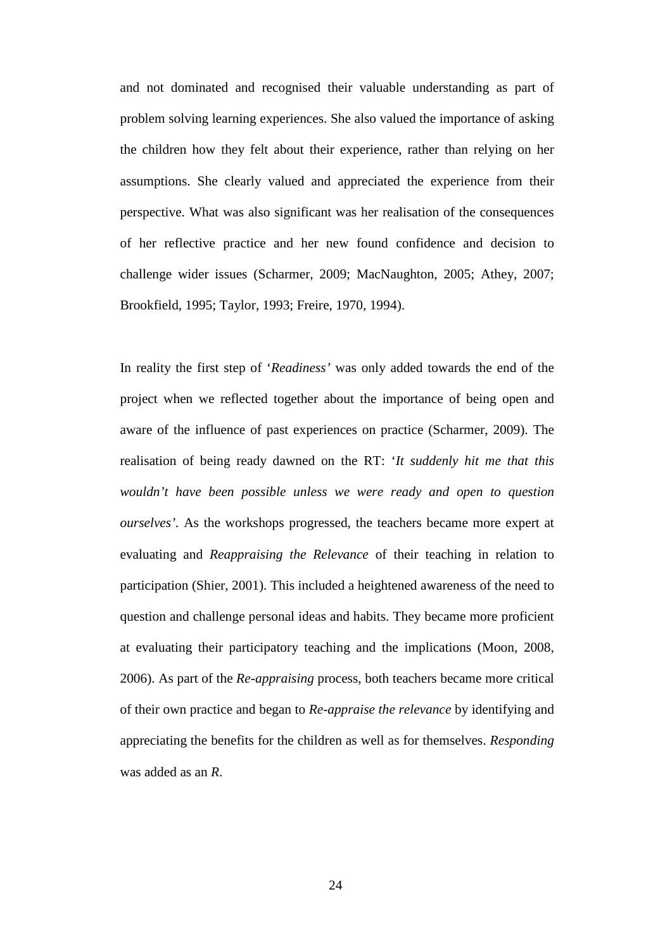and not dominated and recognised their valuable understanding as part of problem solving learning experiences. She also valued the importance of asking the children how they felt about their experience, rather than relying on her assumptions. She clearly valued and appreciated the experience from their perspective. What was also significant was her realisation of the consequences of her reflective practice and her new found confidence and decision to challenge wider issues (Scharmer, 2009; MacNaughton, 2005; Athey, 2007; Brookfield, 1995; Taylor, 1993; Freire, 1970, 1994).

In reality the first step of '*Readiness'* was only added towards the end of the project when we reflected together about the importance of being open and aware of the influence of past experiences on practice (Scharmer, 2009). The realisation of being ready dawned on the RT: '*It suddenly hit me that this wouldn't have been possible unless we were ready and open to question ourselves'.* As the workshops progressed, the teachers became more expert at evaluating and *Reappraising the Relevance* of their teaching in relation to participation (Shier, 2001). This included a heightened awareness of the need to question and challenge personal ideas and habits. They became more proficient at evaluating their participatory teaching and the implications (Moon, 2008, 2006). As part of the *Re-appraising* process, both teachers became more critical of their own practice and began to *Re-appraise the relevance* by identifying and appreciating the benefits for the children as well as for themselves. *Responding* was added as an *R*.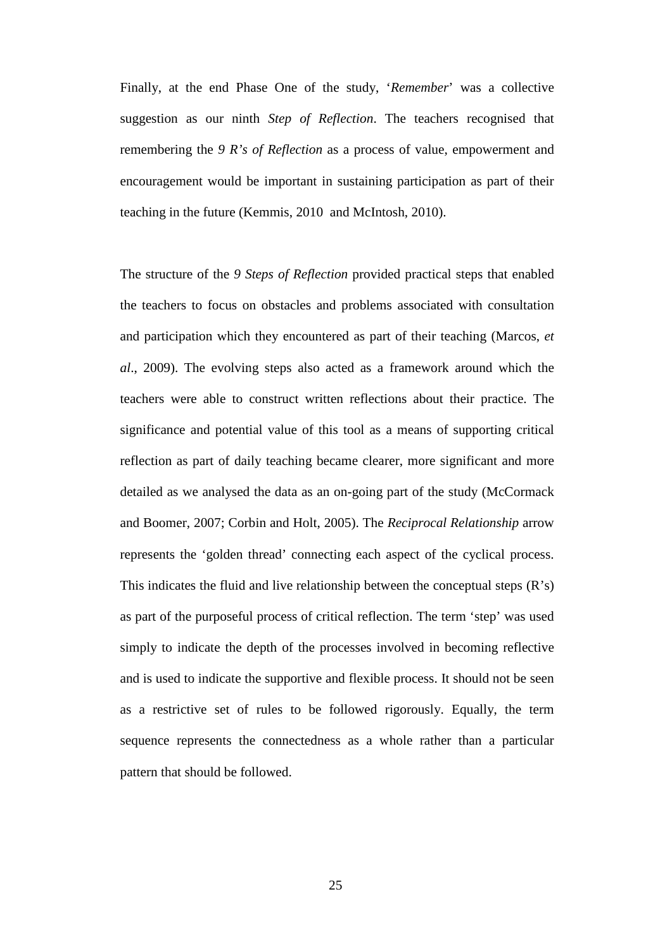Finally, at the end Phase One of the study, '*Remember*' was a collective suggestion as our ninth *Step of Reflection*. The teachers recognised that remembering the *9 R's of Reflection* as a process of value, empowerment and encouragement would be important in sustaining participation as part of their teaching in the future (Kemmis, 2010 and McIntosh, 2010).

The structure of the *9 Steps of Reflection* provided practical steps that enabled the teachers to focus on obstacles and problems associated with consultation and participation which they encountered as part of their teaching (Marcos, *et al*., 2009). The evolving steps also acted as a framework around which the teachers were able to construct written reflections about their practice. The significance and potential value of this tool as a means of supporting critical reflection as part of daily teaching became clearer, more significant and more detailed as we analysed the data as an on-going part of the study (McCormack and Boomer, 2007; Corbin and Holt, 2005). The *Reciprocal Relationship* arrow represents the 'golden thread' connecting each aspect of the cyclical process. This indicates the fluid and live relationship between the conceptual steps (R's) as part of the purposeful process of critical reflection. The term 'step' was used simply to indicate the depth of the processes involved in becoming reflective and is used to indicate the supportive and flexible process. It should not be seen as a restrictive set of rules to be followed rigorously. Equally, the term sequence represents the connectedness as a whole rather than a particular pattern that should be followed.

25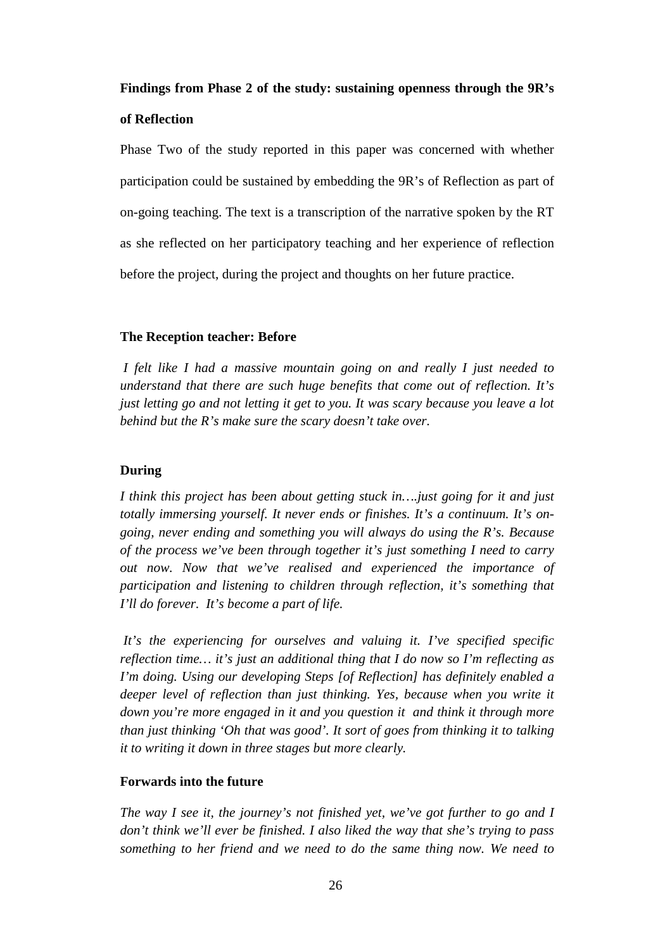# **Findings from Phase 2 of the study: sustaining openness through the 9R's of Reflection**

Phase Two of the study reported in this paper was concerned with whether participation could be sustained by embedding the 9R's of Reflection as part of on-going teaching. The text is a transcription of the narrative spoken by the RT as she reflected on her participatory teaching and her experience of reflection before the project, during the project and thoughts on her future practice.

# **The Reception teacher: Before**

*I felt like I had a massive mountain going on and really I just needed to understand that there are such huge benefits that come out of reflection. It's just letting go and not letting it get to you. It was scary because you leave a lot behind but the R's make sure the scary doesn't take over.*

# **During**

*I think this project has been about getting stuck in….just going for it and just totally immersing yourself. It never ends or finishes. It's a continuum. It's ongoing, never ending and something you will always do using the R's. Because of the process we've been through together it's just something I need to carry out now. Now that we've realised and experienced the importance of participation and listening to children through reflection, it's something that I'll do forever. It's become a part of life.*

*It's the experiencing for ourselves and valuing it. I've specified specific reflection time… it's just an additional thing that I do now so I'm reflecting as I'm doing. Using our developing Steps [of Reflection] has definitely enabled a deeper level of reflection than just thinking. Yes, because when you write it down you're more engaged in it and you question it and think it through more than just thinking 'Oh that was good'. It sort of goes from thinking it to talking it to writing it down in three stages but more clearly.*

# **Forwards into the future**

*The way I see it, the journey's not finished yet, we've got further to go and I don't think we'll ever be finished. I also liked the way that she's trying to pass something to her friend and we need to do the same thing now. We need to*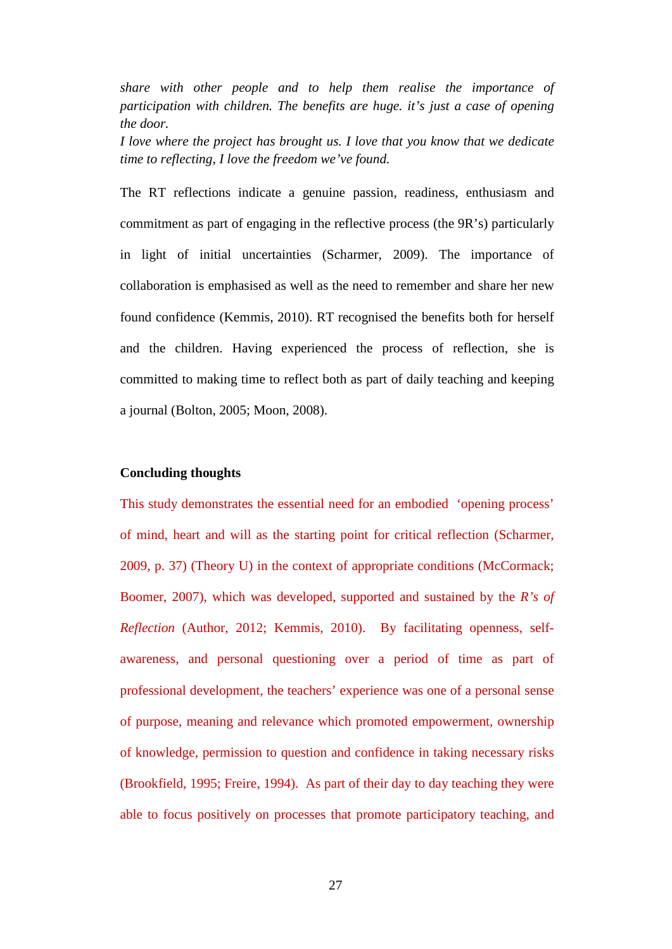*share with other people and to help them realise the importance of participation with children. The benefits are huge. it's just a case of opening the door.* 

*I love where the project has brought us. I love that you know that we dedicate time to reflecting, I love the freedom we've found.*

The RT reflections indicate a genuine passion, readiness, enthusiasm and commitment as part of engaging in the reflective process (the 9R's) particularly in light of initial uncertainties (Scharmer, 2009). The importance of collaboration is emphasised as well as the need to remember and share her new found confidence (Kemmis, 2010). RT recognised the benefits both for herself and the children. Having experienced the process of reflection, she is committed to making time to reflect both as part of daily teaching and keeping a journal (Bolton, 2005; Moon, 2008).

## **Concluding thoughts**

This study demonstrates the essential need for an embodied 'opening process' of mind, heart and will as the starting point for critical reflection (Scharmer, 2009, p. 37) (Theory U) in the context of appropriate conditions (McCormack; Boomer, 2007), which was developed, supported and sustained by the *R's of Reflection* (Author, 2012; Kemmis, 2010). By facilitating openness, selfawareness, and personal questioning over a period of time as part of professional development, the teachers' experience was one of a personal sense of purpose, meaning and relevance which promoted empowerment, ownership of knowledge, permission to question and confidence in taking necessary risks (Brookfield, 1995; Freire, 1994). As part of their day to day teaching they were able to focus positively on processes that promote participatory teaching, and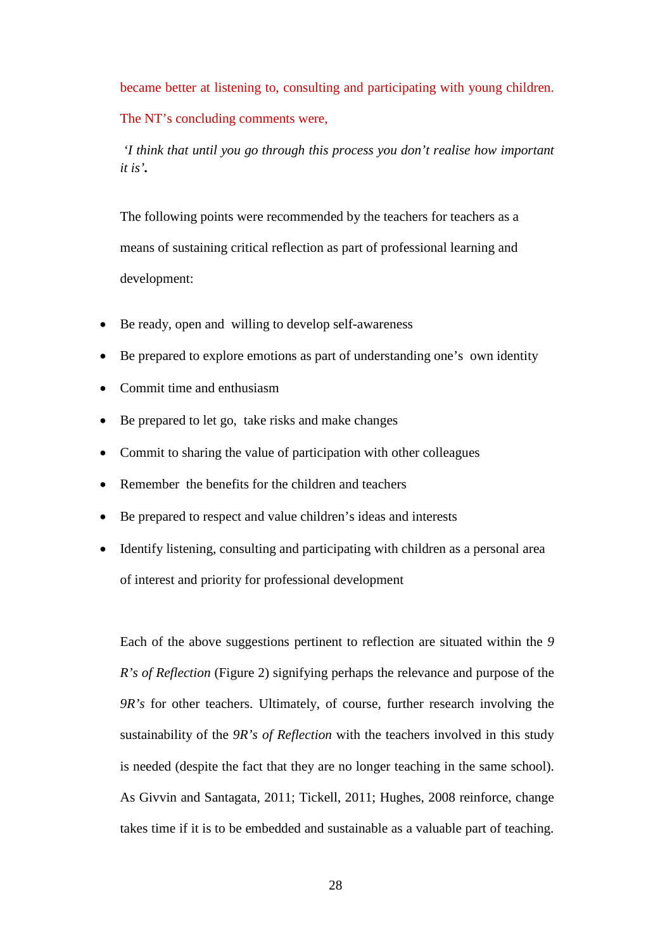became better at listening to, consulting and participating with young children.

The NT's concluding comments were,

*'I think that until you go through this process you don't realise how important it is'.* 

The following points were recommended by the teachers for teachers as a means of sustaining critical reflection as part of professional learning and development:

- Be ready, open and willing to develop self-awareness
- Be prepared to explore emotions as part of understanding one's own identity
- Commit time and enthusiasm
- Be prepared to let go, take risks and make changes
- Commit to sharing the value of participation with other colleagues
- Remember the benefits for the children and teachers
- Be prepared to respect and value children's ideas and interests
- Identify listening, consulting and participating with children as a personal area of interest and priority for professional development

Each of the above suggestions pertinent to reflection are situated within the *9 R's of Reflection* (Figure 2) signifying perhaps the relevance and purpose of the *9R's* for other teachers. Ultimately, of course, further research involving the sustainability of the *9R's of Reflection* with the teachers involved in this study is needed (despite the fact that they are no longer teaching in the same school). As Givvin and Santagata, 2011; Tickell, 2011; Hughes, 2008 reinforce, change takes time if it is to be embedded and sustainable as a valuable part of teaching.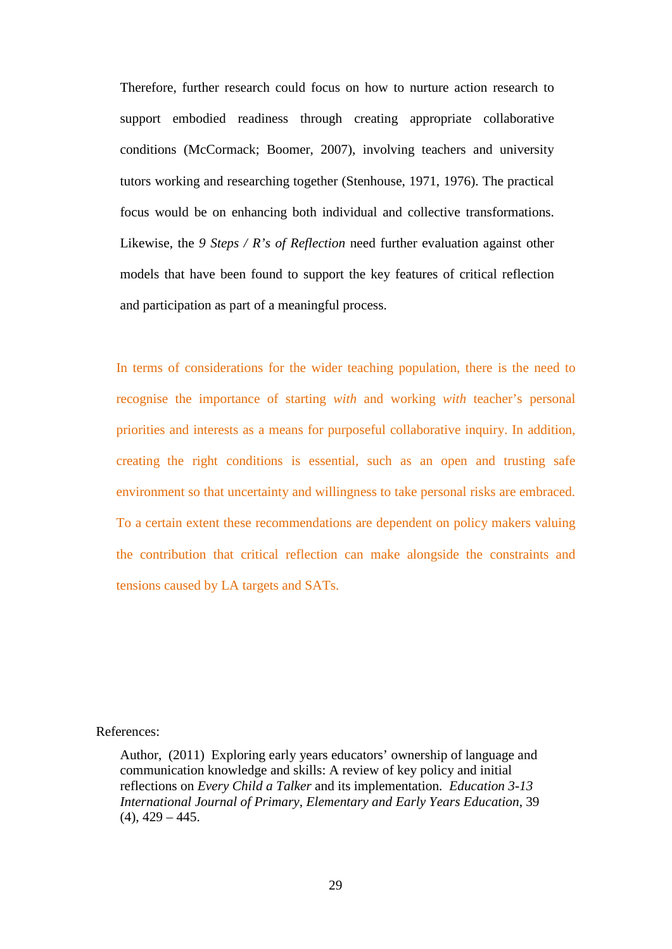Therefore, further research could focus on how to nurture action research to support embodied readiness through creating appropriate collaborative conditions (McCormack; Boomer, 2007), involving teachers and university tutors working and researching together (Stenhouse, 1971, 1976). The practical focus would be on enhancing both individual and collective transformations. Likewise, the *9 Steps / R's of Reflection* need further evaluation against other models that have been found to support the key features of critical reflection and participation as part of a meaningful process.

In terms of considerations for the wider teaching population, there is the need to recognise the importance of starting *with* and working *with* teacher's personal priorities and interests as a means for purposeful collaborative inquiry. In addition, creating the right conditions is essential, such as an open and trusting safe environment so that uncertainty and willingness to take personal risks are embraced. To a certain extent these recommendations are dependent on policy makers valuing the contribution that critical reflection can make alongside the constraints and tensions caused by LA targets and SATs.

References:

Author, (2011) Exploring early years educators' ownership of language and communication knowledge and skills: A review of key policy and initial reflections on *Every Child a Talker* and its implementation. *Education 3-13 International Journal of Primary, Elementary and Early Years Education*, 39  $(4)$ ,  $429 - 445$ .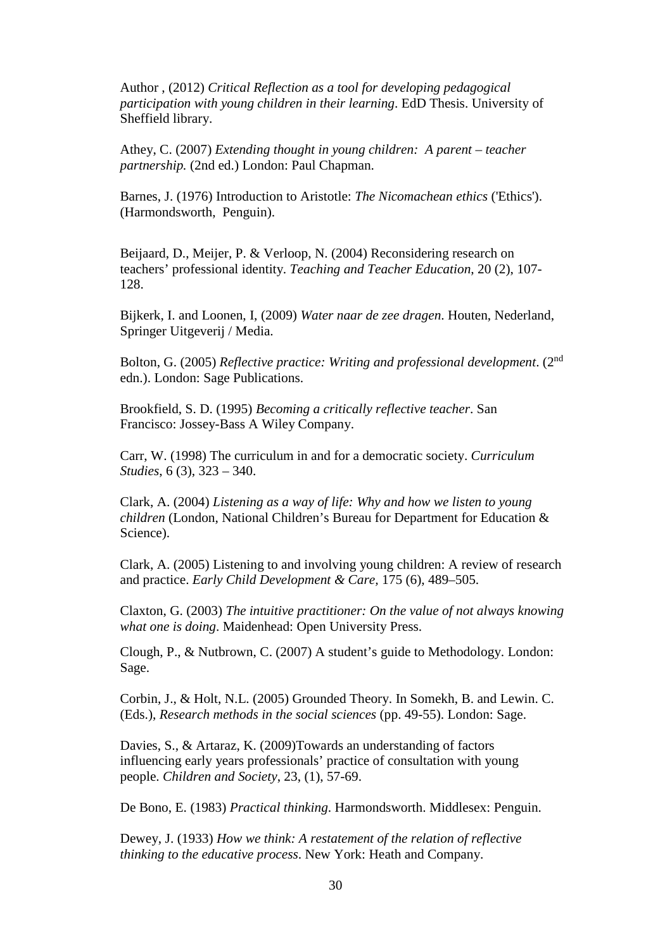Author , (2012) *Critical Reflection as a tool for developing pedagogical participation with young children in their learning*. EdD Thesis. University of Sheffield library.

Athey, C. (2007) *Extending thought in young children: A parent – teacher partnership.* (2nd ed.) London: Paul Chapman.

Barnes, J. (1976) Introduction to Aristotle: *The Nicomachean ethics* ('Ethics'). (Harmondsworth, Penguin).

Beijaard, D., Meijer, P. & Verloop, N. (2004) Reconsidering research on teachers' professional identity. *Teaching and Teacher Education*, 20 (2), 107- 128.

Bijkerk, I. and Loonen, I, (2009) *Water naar de zee dragen*. Houten, Nederland, Springer Uitgeverij / Media.

Bolton, G. (2005) *Reflective practice: Writing and professional development*. (2nd edn.). London: Sage Publications.

Brookfield, S. D. (1995) *Becoming a critically reflective teacher*. San Francisco: Jossey-Bass A Wiley Company.

Carr, W. (1998) The curriculum in and for a democratic society. *Curriculum Studies*, 6 (3), 323 – 340.

Clark, A. (2004) *Listening as a way of life: Why and how we listen to young children* (London, National Children's Bureau for Department for Education & Science).

Clark, A. (2005) Listening to and involving young children: A review of research and practice. *Early Child Development & Care,* 175 (6), 489–505.

Claxton, G. (2003) *The intuitive practitioner: On the value of not always knowing what one is doing*. Maidenhead: Open University Press.

Clough, P., & Nutbrown, C. (2007) A student's guide to Methodology. London: Sage.

Corbin, J., & Holt, N.L. (2005) Grounded Theory. In Somekh, B. and Lewin. C. (Eds.), *Research methods in the social sciences* (pp. 49-55). London: Sage.

Davies, S., & Artaraz, K. (2009)Towards an understanding of factors influencing early years professionals' practice of consultation with young people. *Children and Society*, 23, (1), 57-69.

De Bono, E. (1983) *Practical thinking*. Harmondsworth. Middlesex: Penguin.

Dewey, J. (1933) *How we think: A restatement of the relation of reflective thinking to the educative process*. New York: Heath and Company.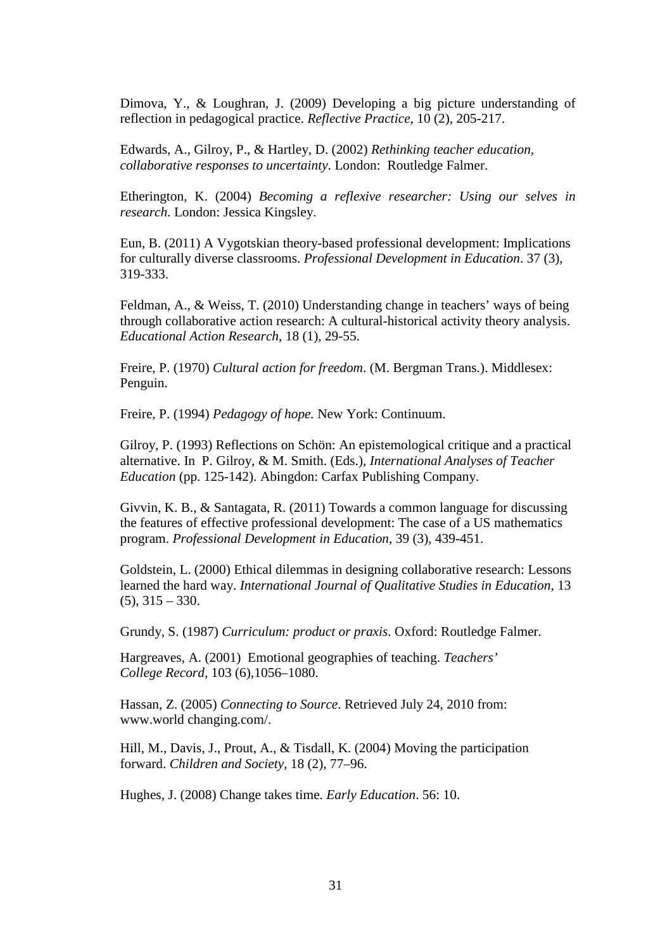Dimova, Y., & Loughran, J. (2009) Developing a big picture understanding of reflection in pedagogical practice. *Reflective Practice*, 10 (2), 205-217.

Edwards, A., Gilroy, P., & Hartley, D. (2002) *Rethinking teacher education, collaborative responses to uncertainty*. London: Routledge Falmer.

Etherington, K. (2004) *Becoming a reflexive researcher: Using our selves in research*. London: Jessica Kingsley.

Eun, B. (2011) A Vygotskian theory-based professional development: Implications for culturally diverse classrooms. *Professional Development in Education*. 37 (3), 319-333.

Feldman, A., & Weiss, T. (2010) Understanding change in teachers' ways of being through collaborative action research: A cultural-historical activity theory analysis. *Educational Action Research*, 18 (1), 29-55.

Freire, P. (1970) *Cultural action for freedom*. (M. Bergman Trans.). Middlesex: Penguin.

Freire, P. (1994) *Pedagogy of hope.* New York: Continuum.

Gilroy, P. (1993) Reflections on Schön: An epistemological critique and a practical alternative. In P. Gilroy, & M. Smith. (Eds.), *International Analyses of Teacher Education* (pp. 125-142). Abingdon: Carfax Publishing Company.

Givvin, K. B., & Santagata, R. (2011) Towards a common language for discussing the features of effective professional development: The case of a US mathematics program. *Professional Development in Education*, 39 (3), 439-451.

Goldstein, L. (2000) Ethical dilemmas in designing collaborative research: Lessons learned the hard way. *International Journal of Qualitative Studies in Education*, 13  $(5)$ ,  $315 - 330$ .

Grundy, S. (1987) *Curriculum: product or praxis*. Oxford: Routledge Falmer.

Hargreaves, A. (2001) Emotional geographies of teaching. *Teachers' College Record,* 103 (6),1056–1080.

Hassan, Z. (2005) *Connecting to Source*. Retrieved July 24, 2010 from: [www.world](http://www.world/) changing.com/.

Hill, M., Davis, J., Prout, A., & Tisdall, K. (2004) Moving the participation forward. *Children and Society,* 18 (2), 77–96.

Hughes, J. (2008) Change takes time. *Early Education*. 56: 10.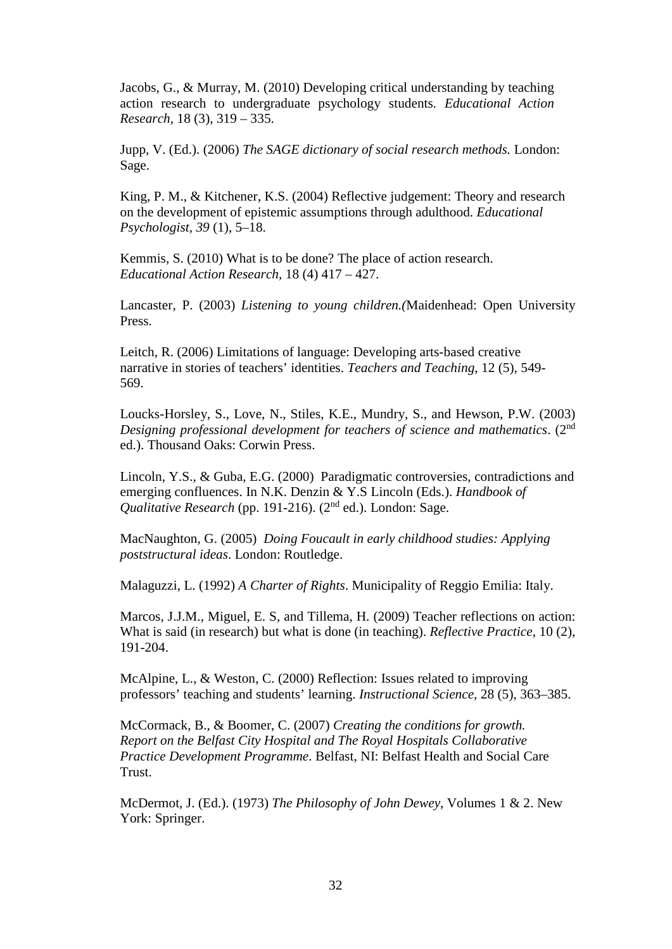Jacobs, G., & Murray, M. (2010) Developing critical understanding by teaching action research to undergraduate psychology students*. Educational Action Research,* 18 (3), 319 – 335.

Jupp, V. (Ed.). (2006) *The SAGE dictionary of social research methods.* London: Sage.

King, P. M., & Kitchener, K.S. (2004) Reflective judgement: Theory and research on the development of epistemic assumptions through adulthood. *Educational Psychologist, 39* (1), 5–18.

Kemmis, S. (2010) What is to be done? The place of action research. *Educational Action Research,* 18 (4) 417 – 427.

Lancaster, P. (2003) *Listening to young children.(*Maidenhead: Open University Press.

Leitch, R. (2006) Limitations of language: Developing arts-based creative narrative in stories of teachers' identities. *Teachers and Teaching*, 12 (5), 549- 569.

Loucks-Horsley, S., Love, N., Stiles, K.E., Mundry, S., and Hewson, P.W. (2003) *Designing professional development for teachers of science and mathematics*. (2nd ed.). Thousand Oaks: Corwin Press.

Lincoln, Y.S., & Guba, E.G. (2000) Paradigmatic controversies, contradictions and emerging confluences. In N.K. Denzin & Y.S Lincoln (Eds.). *Handbook of Qualitative Research* (pp. 191-216). (2nd ed.). London: Sage.

MacNaughton, G. (2005) *Doing Foucault in early childhood studies: Applying poststructural ideas*. London: Routledge.

Malaguzzi, L. (1992) *A Charter of Rights*. Municipality of Reggio Emilia: Italy.

Marcos, J.J.M., Miguel, E. S, and Tillema, H. (2009) Teacher reflections on action: What is said (in research) but what is done (in teaching). *Reflective Practice*, 10 (2), 191-204.

McAlpine, L., & Weston, C. (2000) Reflection: Issues related to improving professors' teaching and students' learning. *Instructional Science,* 28 (5), 363–385.

McCormack, B., & Boomer, C. (2007) *Creating the conditions for growth. Report on the Belfast City Hospital and The Royal Hospitals Collaborative Practice Development Programme*. Belfast, NI: Belfast Health and Social Care Trust.

McDermot, J. (Ed.). (1973) *The Philosophy of John Dewey*, Volumes 1 & 2. New York: Springer.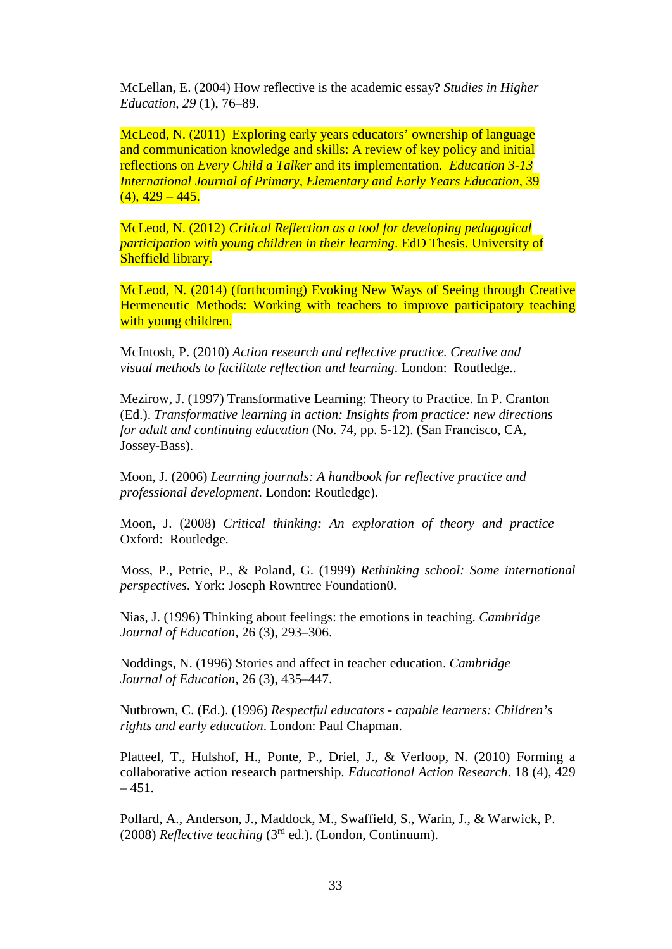McLellan, E. (2004) How reflective is the academic essay? *Studies in Higher Education, 29* (1), 76–89.

McLeod, N. (2011) Exploring early years educators' ownership of language and communication knowledge and skills: A review of key policy and initial reflections on *Every Child a Talker* and its implementation. *Education 3-13 International Journal of Primary, Elementary and Early Years Education*, 39  $(4)$ , 429 – 445.

McLeod, N. (2012) *Critical Reflection as a tool for developing pedagogical participation with young children in their learning*. EdD Thesis. University of Sheffield library.

McLeod, N. (2014) (forthcoming) Evoking New Ways of Seeing through Creative Hermeneutic Methods: Working with teachers to improve participatory teaching with young children.

McIntosh, P. (2010) *Action research and reflective practice. Creative and visual methods to facilitate reflection and learning*. London: Routledge..

Mezirow, J. (1997) Transformative Learning: Theory to Practice. In P. Cranton (Ed.). *Transformative learning in action: Insights from practice: new directions for adult and continuing education* (No. 74, pp. 5-12). (San Francisco, CA, Jossey-Bass).

Moon, J. (2006) *Learning journals: A handbook for reflective practice and professional development*. London: Routledge).

Moon, J. (2008) *Critical thinking: An exploration of theory and practice*  Oxford: Routledge.

Moss, P., Petrie, P., & Poland, G. (1999) *Rethinking school: Some international perspectives*. York: Joseph Rowntree Foundation0.

Nias, J. (1996) Thinking about feelings: the emotions in teaching. *Cambridge Journal of Education,* 26 (3), 293–306.

Noddings, N. (1996) Stories and affect in teacher education. *Cambridge Journal of Education,* 26 (3), 435–447.

Nutbrown, C. (Ed.). (1996) *Respectful educators - capable learners: Children's rights and early education*. London: Paul Chapman.

Platteel, T., Hulshof, H., Ponte, P., Driel, J., & Verloop, N. (2010) Forming a collaborative action research partnership. *Educational Action Research*. 18 (4), 429  $-451.$ 

Pollard, A., Anderson, J., Maddock, M., Swaffield, S., Warin, J., & Warwick, P. (2008) *Reflective teaching* (3rd ed.). (London, Continuum).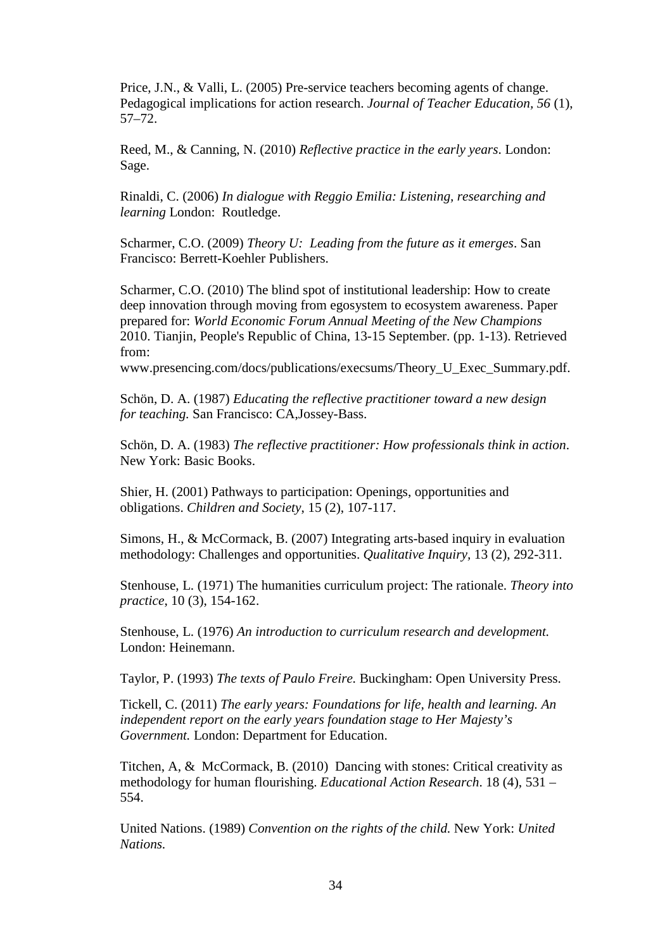Price, J.N., & Valli, L. (2005) Pre-service teachers becoming agents of change. Pedagogical implications for action research. *Journal of Teacher Education, 56* (1), 57–72.

Reed, M., & Canning, N. (2010) *Reflective practice in the early years*. London: Sage.

Rinaldi, C. (2006) *In dialogue with Reggio Emilia: Listening, researching and learning* London: Routledge.

Scharmer, C.O. (2009) *Theory U: Leading from the future as it emerges*. San Francisco: Berrett-Koehler Publishers.

Scharmer, C.O. (2010) The blind spot of institutional leadership: How to create deep innovation through moving from egosystem to ecosystem awareness. Paper prepared for: *World Economic Forum Annual Meeting of the New Champions*  2010. Tianjin, People's Republic of China, 13-15 September. (pp. 1-13). Retrieved from:

[www.presencing.com/docs/publications/execsums/Theory\\_U\\_Exec\\_Summary.pdf.](http://www.presencing.com/docs/publications/execsums/Theory_U_Exec_Summary.pdf)

Schön, D. A. (1987) *Educating the reflective practitioner toward a new design for teaching.* San Francisco: CA,Jossey-Bass.

Schön, D. A. (1983) *The reflective practitioner: How professionals think in action*. New York: Basic Books.

Shier, H. (2001) Pathways to participation: Openings, opportunities and obligations. *Children and Society*, 15 (2), 107-117.

Simons, H., & McCormack, B. (2007) Integrating arts-based inquiry in evaluation methodology: Challenges and opportunities. *Qualitative Inquiry,* 13 (2), 292-311.

Stenhouse, L. (1971) The humanities curriculum project: The rationale. *Theory into practice*, 10 (3), 154-162.

Stenhouse, L. (1976) *An introduction to curriculum research and development.*  London: Heinemann.

Taylor, P. (1993) *The texts of Paulo Freire.* Buckingham: Open University Press.

Tickell, C. (2011) *The early years: Foundations for life, health and learning. An independent report on the early years foundation stage to Her Majesty's Government.* London: Department for Education.

Titchen, A, & McCormack, B. (2010) Dancing with stones: Critical creativity as methodology for human flourishing. *Educational Action Research*. 18 (4), 531 – 554.

United Nations. (1989) *Convention on the rights of the child.* New York: *United Nations.*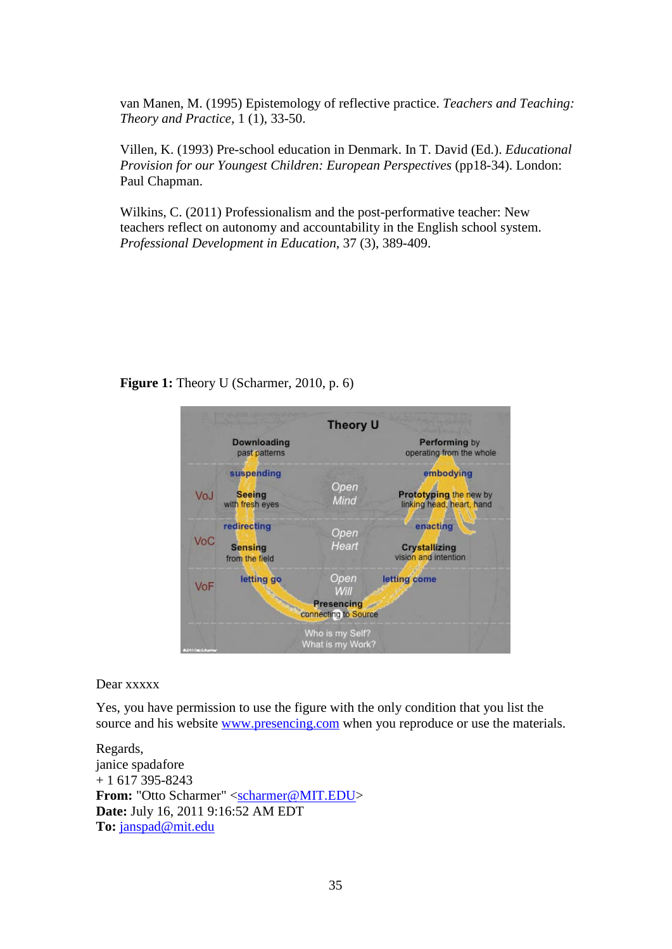van Manen, M. (1995) Epistemology of reflective practice. *Teachers and Teaching: Theory and Practice,* 1 (1), 33-50.

Villen, K. (1993) Pre-school education in Denmark. In T. David (Ed.). *Educational Provision for our Youngest Children: European Perspectives (pp18-34). London:* Paul Chapman.

Wilkins, C. (2011) Professionalism and the post-performative teacher: New teachers reflect on autonomy and accountability in the English school system. *Professional Development in Education*, 37 (3), 389-409.

## **Figure 1:** Theory U (Scharmer, 2010, p. 6)



Dear xxxxx

Yes, you have permission to use the figure with the only condition that you list the source and his website [www.presencing.com](http://www.presencing.com/) when you reproduce or use the materials.

Regards, janice spadafore + 1 617 395-8243 **From:** "Otto Scharmer" [<scharmer@MIT.EDU>](http://mail.google.com/a/hope.ac.uk/h/kdzp14qr0rqe/?v=b&cs=wh&to=scharmer@MIT.EDU) **Date:** July 16, 2011 9:16:52 AM EDT **To:** [janspad@mit.edu](http://mail.google.com/a/hope.ac.uk/h/kdzp14qr0rqe/?v=b&cs=wh&to=janspad@mit.edu)